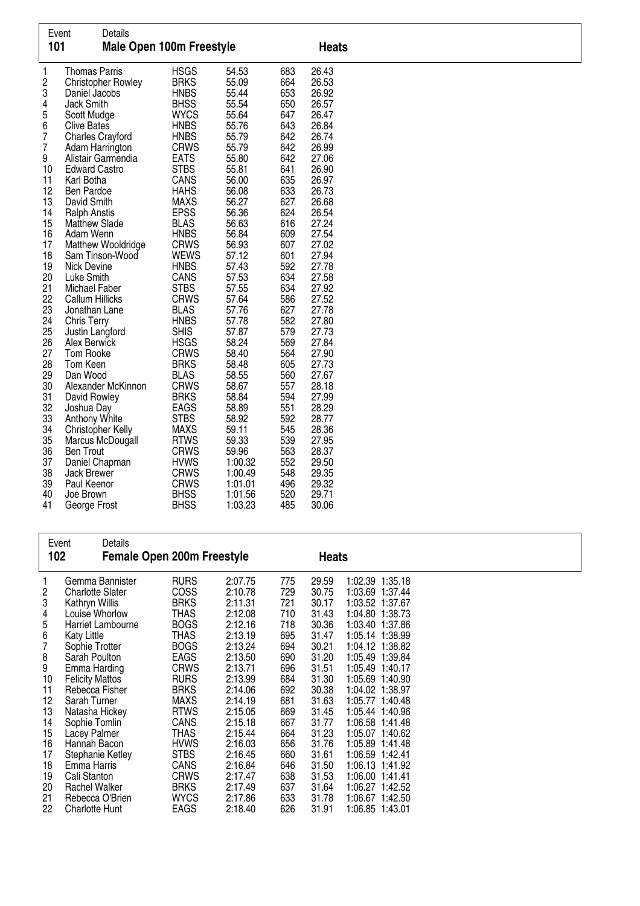|                | Event                    | Details                         |             |         |     |              |
|----------------|--------------------------|---------------------------------|-------------|---------|-----|--------------|
| 101            |                          | <b>Male Open 100m Freestyle</b> |             |         |     | <b>Heats</b> |
| 1              | <b>Thomas Parris</b>     |                                 | <b>HSGS</b> | 54.53   | 683 | 26.43        |
| 2              |                          | <b>Christopher Rowley</b>       | <b>BRKS</b> | 55.09   | 664 | 26.53        |
| 3              | Daniel Jacobs            |                                 | <b>HNBS</b> | 55.44   | 653 | 26.92        |
| 4              | Jack Smith               |                                 | <b>BHSS</b> | 55.54   | 650 | 26.57        |
| 5              | Scott Mudge              |                                 | <b>WYCS</b> | 55.64   | 647 | 26.47        |
| 6              | <b>Clive Bates</b>       |                                 | <b>HNBS</b> | 55.76   | 643 | 26.84        |
| 7              | <b>Charles Crayford</b>  |                                 | <b>HNBS</b> | 55.79   | 642 | 26.74        |
| $\overline{7}$ | Adam Harrington          |                                 | <b>CRWS</b> | 55.79   | 642 | 26.99        |
| 9              |                          | Alistair Garmendia              | <b>EATS</b> | 55.80   | 642 | 27.06        |
| 10             | <b>Edward Castro</b>     |                                 | <b>STBS</b> | 55.81   | 641 | 26.90        |
| 11             | Karl Botha               |                                 | CANS        | 56.00   | 635 | 26.97        |
| 12             | Ben Pardoe               |                                 | <b>HAHS</b> | 56.08   | 633 | 26.73        |
| 13             | David Smith              |                                 | <b>MAXS</b> | 56.27   | 627 | 26.68        |
| 14             | <b>Ralph Anstis</b>      |                                 | <b>EPSS</b> | 56.36   | 624 | 26.54        |
| 15             | <b>Matthew Slade</b>     |                                 | <b>BLAS</b> | 56.63   | 616 | 27.24        |
| 16             | Adam Wenn                |                                 | <b>HNBS</b> | 56.84   | 609 | 27.54        |
| 17             |                          | Matthew Wooldridge              | <b>CRWS</b> | 56.93   | 607 | 27.02        |
| 18             |                          | Sam Tinson-Wood                 | <b>WEWS</b> | 57.12   | 601 | 27.94        |
| 19             | <b>Nick Devine</b>       |                                 | <b>HNBS</b> | 57.43   | 592 | 27.78        |
| 20             | Luke Smith               |                                 | CANS        | 57.53   | 634 | 27.58        |
| 21             | Michael Faber            |                                 | <b>STBS</b> | 57.55   | 634 | 27.92        |
| 22             | <b>Callum Hillicks</b>   |                                 | <b>CRWS</b> | 57.64   | 586 | 27.52        |
| 23             | Jonathan Lane            |                                 | <b>BLAS</b> | 57.76   | 627 | 27.78        |
| 24             | <b>Chris Terry</b>       |                                 | <b>HNBS</b> | 57.78   | 582 | 27.80        |
| 25             | Justin Langford          |                                 | <b>SHIS</b> | 57.87   | 579 | 27.73        |
| 26             | Alex Berwick             |                                 | <b>HSGS</b> | 58.24   | 569 | 27.84        |
| 27             | Tom Rooke                |                                 | <b>CRWS</b> | 58.40   | 564 | 27.90        |
| 28             | Tom Keen                 |                                 | <b>BRKS</b> | 58.48   | 605 | 27.73        |
| 29             | Dan Wood                 |                                 | <b>BLAS</b> | 58.55   | 560 | 27.67        |
| 30             |                          | Alexander McKinnon              | <b>CRWS</b> | 58.67   | 557 | 28.18        |
| 31             | David Rowley             |                                 | <b>BRKS</b> | 58.84   | 594 | 27.99        |
| 32             | Joshua Day               |                                 | <b>EAGS</b> | 58.89   | 551 | 28.29        |
| 33             | Anthony White            |                                 | <b>STBS</b> | 58.92   | 592 | 28.77        |
| 34             | <b>Christopher Kelly</b> |                                 | <b>MAXS</b> | 59.11   | 545 | 28.36        |
| 35             |                          | Marcus McDougall                | <b>RTWS</b> | 59.33   | 539 | 27.95        |
| 36             | <b>Ben Trout</b>         |                                 | <b>CRWS</b> | 59.96   | 563 | 28.37        |
| 37             | Daniel Chapman           |                                 | <b>HVWS</b> | 1:00.32 | 552 | 29.50        |
| 38             | Jack Brewer              |                                 | <b>CRWS</b> | 1:00.49 | 548 | 29.35        |
| 39             | Paul Keenor              |                                 | <b>CRWS</b> | 1:01.01 | 496 | 29.32        |
| 40             | Joe Brown                |                                 | <b>BHSS</b> | 1:01.56 | 520 | 29.71        |
| 41             | George Frost             |                                 | <b>BHSS</b> | 1:03.23 | 485 | 30.06        |

| 102 | Details<br>Event        | <b>Female Open 200m Freestyle</b> |         |     | <b>Heats</b> |                 |  |
|-----|-------------------------|-----------------------------------|---------|-----|--------------|-----------------|--|
|     | Gemma Bannister         | <b>RURS</b>                       | 2:07.75 | 775 | 29.59        | 1:02.39 1:35.18 |  |
| 2   | <b>Charlotte Slater</b> | <b>COSS</b>                       | 2:10.78 | 729 | 30.75        | 1:03.69 1:37.44 |  |
| 3   | Kathryn Willis          | <b>BRKS</b>                       | 2:11.31 | 721 | 30.17        | 1:03.52 1:37.67 |  |
| 4   | Louise Whorlow          | <b>THAS</b>                       | 2:12.08 | 710 | 31.43        | 1:04.80 1:38.73 |  |
| 5   | Harriet Lambourne       | <b>BOGS</b>                       | 2:12.16 | 718 | 30.36        | 1:03.40 1:37.86 |  |
| 6   | <b>Katy Little</b>      | THAS                              | 2:13.19 | 695 | 31.47        | 1:05.14 1:38.99 |  |
|     | Sophie Trotter          | <b>BOGS</b>                       | 2:13.24 | 694 | 30.21        | 1:04.12 1:38.82 |  |
| 8   | Sarah Poulton           | EAGS                              | 2:13.50 | 690 | 31.20        | 1:05.49 1:39.84 |  |
| 9   | Emma Harding            | <b>CRWS</b>                       | 2:13.71 | 696 | 31.51        | 1:05.49 1:40.17 |  |
| 10  | <b>Felicity Mattos</b>  | <b>RURS</b>                       | 2:13.99 | 684 | 31.30        | 1:05.69 1:40.90 |  |
| 11  | Rebecca Fisher          | <b>BRKS</b>                       | 2:14.06 | 692 | 30.38        | 1:04.02 1:38.97 |  |
| 12  | Sarah Turner            | <b>MAXS</b>                       | 2:14.19 | 681 | 31.63        | 1:05.77 1:40.48 |  |
| 13  | Natasha Hickey          | <b>RTWS</b>                       | 2:15.05 | 669 | 31.45        | 1:05.44 1:40.96 |  |
| 14  | Sophie Tomlin           | <b>CANS</b>                       | 2:15.18 | 667 | 31.77        | 1:06.58 1:41.48 |  |
| 15  | Lacey Palmer            | THAS                              | 2:15.44 | 664 | 31.23        | 1:05.07 1:40.62 |  |
| 16  | Hannah Bacon            | <b>HVWS</b>                       | 2:16.03 | 656 | 31.76        | 1:05.89 1:41.48 |  |
| 17  | Stephanie Ketley        | STBS                              | 2:16.45 | 660 | 31.61        | 1:06.59 1:42.41 |  |
| 18  | Emma Harris             | CANS                              | 2:16.84 | 646 | 31.50        | 1:06.13 1:41.92 |  |
| 19  | Cali Stanton            | <b>CRWS</b>                       | 2:17.47 | 638 | 31.53        | 1:06.00 1:41.41 |  |
| 20  | Rachel Walker           | <b>BRKS</b>                       | 2:17.49 | 637 | 31.64        | 1:06.27 1:42.52 |  |
| 21  | Rebecca O'Brien         | <b>WYCS</b>                       | 2:17.86 | 633 | 31.78        | 1:06.67 1:42.50 |  |
| 22  | <b>Charlotte Hunt</b>   | <b>EAGS</b>                       | 2:18.40 | 626 | 31.91        | 1:06.85 1:43.01 |  |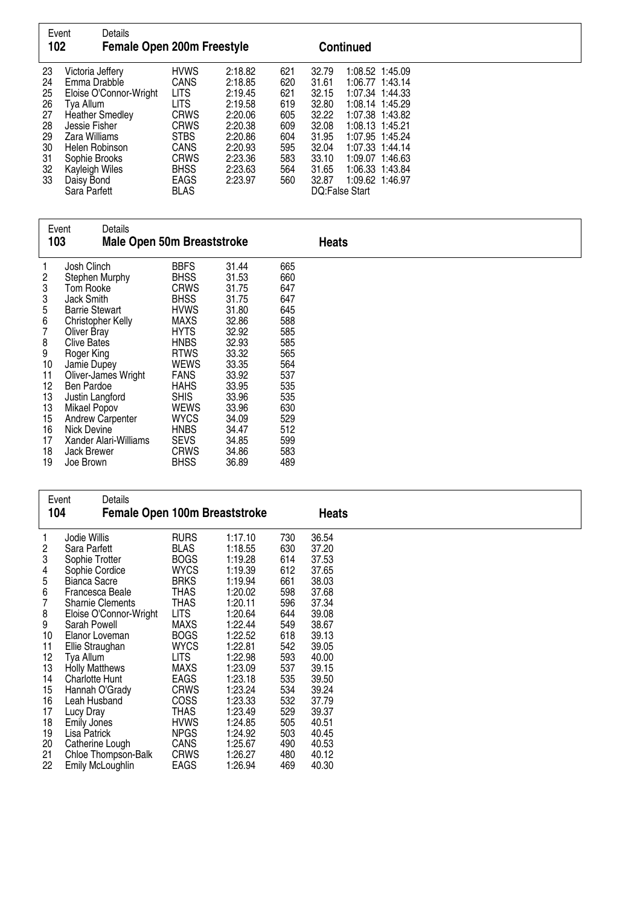| Event<br>102                                       | Details<br><b>Female Open 200m Freestyle</b>                                                                                                                           |                                                                                                                       |                                                                                                 |                                                             |                                                                               | <b>Continued</b> |                                                                                                                                                                         |
|----------------------------------------------------|------------------------------------------------------------------------------------------------------------------------------------------------------------------------|-----------------------------------------------------------------------------------------------------------------------|-------------------------------------------------------------------------------------------------|-------------------------------------------------------------|-------------------------------------------------------------------------------|------------------|-------------------------------------------------------------------------------------------------------------------------------------------------------------------------|
| 23<br>24<br>25<br>26<br>27<br>28<br>29<br>30<br>31 | Victoria Jeffery<br>Emma Drabble<br>Eloise O'Connor-Wright<br>Tya Allum<br><b>Heather Smedley</b><br>Jessie Fisher<br>Zara Williams<br>Helen Robinson<br>Sophie Brooks | <b>HVWS</b><br>CANS<br><b>LITS</b><br><b>LITS</b><br><b>CRWS</b><br><b>CRWS</b><br><b>STBS</b><br>CANS<br><b>CRWS</b> | 2:18.82<br>2:18.85<br>2:19.45<br>2:19.58<br>2:20.06<br>2:20.38<br>2:20.86<br>2:20.93<br>2:23.36 | 621<br>620<br>621<br>619<br>605<br>609<br>604<br>595<br>583 | 32.79<br>31.61<br>32.15<br>32.80<br>32.22<br>32.08<br>31.95<br>32.04<br>33.10 |                  | 1:08.52 1:45.09<br>1:06.77 1:43.14<br>1:07.34 1:44.33<br>1:08.14 1:45.29<br>1:07.38 1:43.82<br>1:08.13 1:45.21<br>1:07.95 1:45.24<br>1:07.33 1:44.14<br>1:09.07 1:46.63 |
| 32<br>33                                           | Kayleigh Wiles<br>Daisy Bond<br>Sara Parfett                                                                                                                           | <b>BHSS</b><br><b>EAGS</b><br><b>BLAS</b>                                                                             | 2:23.63<br>2:23.97                                                                              | 564<br>560                                                  | 31.65<br>32.87                                                                | DQ:False Start   | 1:06.33 1:43.84<br>1:09.62 1:46.97                                                                                                                                      |

| Event<br>103                                                                          | Details<br><b>Male Open 50m Breaststroke</b>                                                                                                                                                                                                                                                                                                                  |                                                                                                                                                                                                                                                               |                                                                                                                                                                         |                                                                                                                                   | Heats |
|---------------------------------------------------------------------------------------|---------------------------------------------------------------------------------------------------------------------------------------------------------------------------------------------------------------------------------------------------------------------------------------------------------------------------------------------------------------|---------------------------------------------------------------------------------------------------------------------------------------------------------------------------------------------------------------------------------------------------------------|-------------------------------------------------------------------------------------------------------------------------------------------------------------------------|-----------------------------------------------------------------------------------------------------------------------------------|-------|
| 1<br>2<br>33567<br>8<br>9<br>10<br>11<br>12<br>13<br>13<br>15<br>16<br>17<br>18<br>19 | Josh Clinch<br>Stephen Murphy<br>Tom Rooke<br>Jack Smith<br><b>Barrie Stewart</b><br>Christopher Kelly<br><b>Oliver Bray</b><br><b>Clive Bates</b><br>Roger King<br>Jamie Dupey<br>Oliver-James Wright<br>Ben Pardoe<br>Justin Langford<br><b>Mikael Popov</b><br><b>Andrew Carpenter</b><br>Nick Devine<br>Xander Alari-Williams<br>Jack Brewer<br>Joe Brown | <b>BBFS</b><br><b>BHSS</b><br>CRWS<br><b>BHSS</b><br><b>HVWS</b><br>MAXS<br><b>HYTS</b><br><b>HNBS</b><br><b>RTWS</b><br>WEWS<br><b>FANS</b><br><b>HAHS</b><br><b>SHIS</b><br>WEWS<br><b>WYCS</b><br><b>HNBS</b><br><b>SEVS</b><br><b>CRWS</b><br><b>BHSS</b> | 31.44<br>31.53<br>31.75<br>31.75<br>31.80<br>32.86<br>32.92<br>32.93<br>33.32<br>33.35<br>33.92<br>33.95<br>33.96<br>33.96<br>34.09<br>34.47<br>34.85<br>34.86<br>36.89 | 665<br>660<br>647<br>647<br>645<br>588<br>585<br>585<br>565<br>564<br>537<br>535<br>535<br>630<br>529<br>512<br>599<br>583<br>489 |       |
|                                                                                       |                                                                                                                                                                                                                                                                                                                                                               |                                                                                                                                                                                                                                                               |                                                                                                                                                                         |                                                                                                                                   |       |

| Event | Details                              |             |         |     |              |  |
|-------|--------------------------------------|-------------|---------|-----|--------------|--|
| 104   | <b>Female Open 100m Breaststroke</b> |             |         |     | <b>Heats</b> |  |
|       | Jodie Willis                         | <b>RURS</b> | 1:17.10 | 730 | 36.54        |  |
| 2     | Sara Parfett                         | <b>BLAS</b> | 1:18.55 | 630 | 37.20        |  |
| 3     | Sophie Trotter                       | <b>BOGS</b> | 1:19.28 | 614 | 37.53        |  |
| 4     | Sophie Cordice                       | <b>WYCS</b> | 1:19.39 | 612 | 37.65        |  |
| 5     | <b>Bianca Sacre</b>                  | <b>BRKS</b> | 1:19.94 | 661 | 38.03        |  |
| 6     | Francesca Beale                      | THAS        | 1:20.02 | 598 | 37.68        |  |
|       | <b>Sharnie Clements</b>              | <b>THAS</b> | 1:20.11 | 596 | 37.34        |  |
| 8     | Eloise O'Connor-Wright               | <b>LITS</b> | 1:20.64 | 644 | 39.08        |  |
| 9     | Sarah Powell                         | <b>MAXS</b> | 1:22.44 | 549 | 38.67        |  |
| 10    | Elanor Loveman                       | <b>BOGS</b> | 1:22.52 | 618 | 39.13        |  |
| 11    | Ellie Straughan                      | <b>WYCS</b> | 1:22.81 | 542 | 39.05        |  |
| 12    | Tya Allum                            | <b>LITS</b> | 1:22.98 | 593 | 40.00        |  |
| 13    | <b>Holly Matthews</b>                | MAXS        | 1:23.09 | 537 | 39.15        |  |
| 14    | <b>Charlotte Hunt</b>                | <b>EAGS</b> | 1:23.18 | 535 | 39.50        |  |
| 15    | Hannah O'Grady                       | <b>CRWS</b> | 1:23.24 | 534 | 39.24        |  |
| 16    | Leah Husband                         | <b>COSS</b> | 1:23.33 | 532 | 37.79        |  |
| 17    | Lucy Dray                            | THAS        | 1:23.49 | 529 | 39.37        |  |
| 18    | Emily Jones                          | <b>HVWS</b> | 1:24.85 | 505 | 40.51        |  |
| 19    | Lisa Patrick                         | <b>NPGS</b> | 1:24.92 | 503 | 40.45        |  |
| 20    | Catherine Lough                      | CANS        | 1:25.67 | 490 | 40.53        |  |
| 21    | Chloe Thompson-Balk                  | <b>CRWS</b> | 1:26.27 | 480 | 40.12        |  |
| 22    | Emily McLoughlin                     | <b>EAGS</b> | 1:26.94 | 469 | 40.30        |  |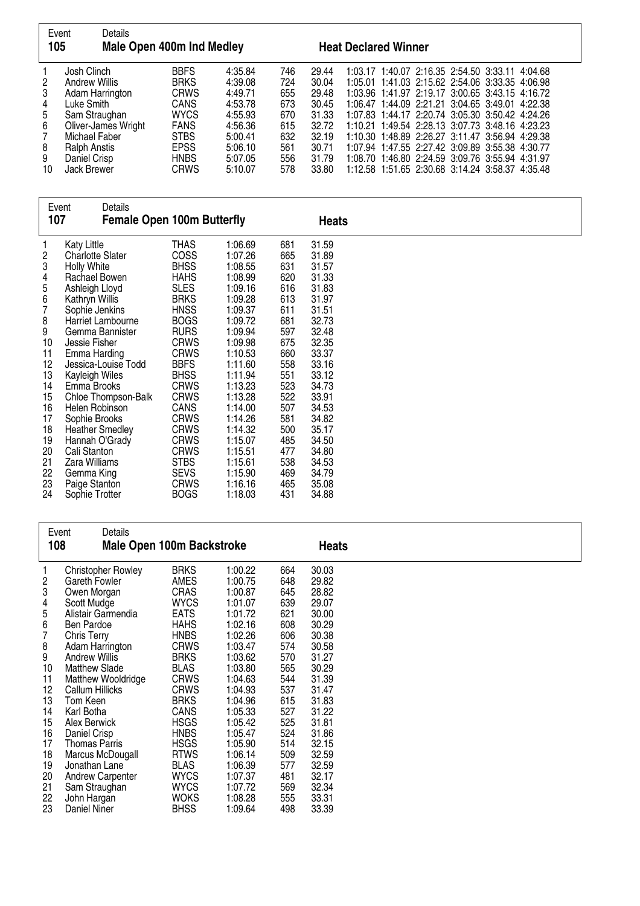| Event<br>105 | Details<br>Male Open 400m Ind Medley |             |         |     |       | <b>Heat Declared Winner</b>                     |  |
|--------------|--------------------------------------|-------------|---------|-----|-------|-------------------------------------------------|--|
|              | Josh Clinch                          | <b>BBFS</b> | 4:35.84 | 746 | 29.44 | 1:03.17 1:40.07 2:16.35 2:54.50 3:33.11 4:04.68 |  |
| 2            | Andrew Willis                        | <b>BRKS</b> | 4:39.08 | 724 | 30.04 | 1:05.01 1:41.03 2:15.62 2:54.06 3:33.35 4:06.98 |  |
| 3            | Adam Harrington                      | <b>CRWS</b> | 4:49.71 | 655 | 29.48 | 1:03.96 1:41.97 2:19.17 3:00.65 3:43.15 4:16.72 |  |
| 4            | Luke Smith                           | CANS        | 4:53.78 | 673 | 30.45 | 1:06.47 1:44.09 2:21.21 3:04.65 3:49.01 4:22.38 |  |
| 5            | Sam Straughan                        | <b>WYCS</b> | 4:55.93 | 670 | 31.33 | 1:07.83 1:44.17 2:20.74 3:05.30 3:50.42 4:24.26 |  |
| 6            | Oliver-James Wright                  | <b>FANS</b> | 4:56.36 | 615 | 32.72 | 1:10.21 1:49.54 2:28.13 3:07.73 3:48.16 4:23.23 |  |
| 7            | Michael Faber                        | <b>STBS</b> | 5:00.41 | 632 | 32.19 | 1:10.30 1:48.89 2:26.27 3:11.47 3:56.94 4:29.38 |  |
| 8            | <b>Ralph Anstis</b>                  | <b>EPSS</b> | 5:06.10 | 561 | 30.71 | 1:07.94 1:47.55 2:27.42 3:09.89 3:55.38 4:30.77 |  |
| 9            | Daniel Crisp                         | <b>HNBS</b> | 5:07.05 | 556 | 31.79 | 1:08.70 1:46.80 2:24.59 3:09.76 3:55.94 4:31.97 |  |
| 10           | Jack Brewer                          | <b>CRWS</b> | 5:10.07 | 578 | 33.80 | 1:12.58 1:51.65 2:30.68 3:14.24 3:58.37 4:35.48 |  |

| 107 | Details<br>Event<br><b>Female Open 100m Butterfly</b> |             |         |     | <b>Heats</b> |  |
|-----|-------------------------------------------------------|-------------|---------|-----|--------------|--|
|     | <b>Katy Little</b>                                    | THAS        | 1:06.69 | 681 | 31.59        |  |
| 2   | <b>Charlotte Slater</b>                               | <b>COSS</b> | 1:07.26 | 665 | 31.89        |  |
| 3   | Holly White                                           | <b>BHSS</b> | 1:08.55 | 631 | 31.57        |  |
| 4   | Rachael Bowen                                         | <b>HAHS</b> | 1:08.99 | 620 | 31.33        |  |
| 5   | Ashleigh Lloyd                                        | <b>SLES</b> | 1:09.16 | 616 | 31.83        |  |
| 6   | Kathryn Willis                                        | <b>BRKS</b> | 1:09.28 | 613 | 31.97        |  |
| 7   | Sophie Jenkins                                        | <b>HNSS</b> | 1:09.37 | 611 | 31.51        |  |
| 8   | Harriet Lambourne                                     | <b>BOGS</b> | 1:09.72 | 681 | 32.73        |  |
| 9   | Gemma Bannister                                       | <b>RURS</b> | 1:09.94 | 597 | 32.48        |  |
| 10  | Jessie Fisher                                         | <b>CRWS</b> | 1:09.98 | 675 | 32.35        |  |
| 11  | Emma Harding                                          | <b>CRWS</b> | 1:10.53 | 660 | 33.37        |  |
| 12  | Jessica-Louise Todd                                   | <b>BBFS</b> | 1:11.60 | 558 | 33.16        |  |
| 13  | Kayleigh Wiles                                        | <b>BHSS</b> | 1:11.94 | 551 | 33.12        |  |
| 14  | Emma Brooks                                           | <b>CRWS</b> | 1:13.23 | 523 | 34.73        |  |
| 15  | Chloe Thompson-Balk                                   | <b>CRWS</b> | 1:13.28 | 522 | 33.91        |  |
| 16  | Helen Robinson                                        | <b>CANS</b> | 1:14.00 | 507 | 34.53        |  |
| 17  | Sophie Brooks                                         | <b>CRWS</b> | 1:14.26 | 581 | 34.82        |  |
| 18  | <b>Heather Smedley</b>                                | <b>CRWS</b> | 1:14.32 | 500 | 35.17        |  |
| 19  | Hannah O'Grady                                        | <b>CRWS</b> | 1:15.07 | 485 | 34.50        |  |
| 20  | Cali Stanton                                          | <b>CRWS</b> | 1:15.51 | 477 | 34.80        |  |
| 21  | Zara Williams                                         | <b>STBS</b> | 1:15.61 | 538 | 34.53        |  |
| 22  | Gemma King                                            | <b>SEVS</b> | 1:15.90 | 469 | 34.79        |  |
| 23  | Paige Stanton                                         | <b>CRWS</b> | 1:16.16 | 465 | 35.08        |  |
| 24  | Sophie Trotter                                        | <b>BOGS</b> | 1:18.03 | 431 | 34.88        |  |

| Event | Details                          |             |         |     |              |  |
|-------|----------------------------------|-------------|---------|-----|--------------|--|
| 108   | <b>Male Open 100m Backstroke</b> |             |         |     | <b>Heats</b> |  |
|       | Christopher Rowley               | <b>BRKS</b> | 1:00.22 | 664 | 30.03        |  |
| 2     | Gareth Fowler                    | AMES        | 1:00.75 | 648 | 29.82        |  |
| 3     | Owen Morgan                      | CRAS        | 1:00.87 | 645 | 28.82        |  |
| 4     | Scott Mudge                      | <b>WYCS</b> | 1:01.07 | 639 | 29.07        |  |
| 5     | Alistair Garmendia               | <b>EATS</b> | 1:01.72 | 621 | 30.00        |  |
| 6     | Ben Pardoe                       | <b>HAHS</b> | 1:02.16 | 608 | 30.29        |  |
| 7     | Chris Terry                      | <b>HNBS</b> | 1:02.26 | 606 | 30.38        |  |
| 8     | Adam Harrington                  | <b>CRWS</b> | 1:03.47 | 574 | 30.58        |  |
| 9     | <b>Andrew Willis</b>             | <b>BRKS</b> | 1:03.62 | 570 | 31.27        |  |
| 10    | <b>Matthew Slade</b>             | <b>BLAS</b> | 1:03.80 | 565 | 30.29        |  |
| 11    | Matthew Wooldridge               | <b>CRWS</b> | 1:04.63 | 544 | 31.39        |  |
| 12    | Callum Hillicks                  | <b>CRWS</b> | 1:04.93 | 537 | 31.47        |  |
| 13    | Tom Keen                         | <b>BRKS</b> | 1:04.96 | 615 | 31.83        |  |
| 14    | Karl Botha                       | CANS        | 1:05.33 | 527 | 31.22        |  |
| 15    | Alex Berwick                     | <b>HSGS</b> | 1:05.42 | 525 | 31.81        |  |
| 16    | Daniel Crisp                     | <b>HNBS</b> | 1:05.47 | 524 | 31.86        |  |
| 17    | Thomas Parris                    | <b>HSGS</b> | 1:05.90 | 514 | 32.15        |  |
| 18    | Marcus McDougall                 | <b>RTWS</b> | 1:06.14 | 509 | 32.59        |  |
| 19    | Jonathan Lane                    | <b>BLAS</b> | 1:06.39 | 577 | 32.59        |  |
| 20    | <b>Andrew Carpenter</b>          | <b>WYCS</b> | 1:07.37 | 481 | 32.17        |  |
| 21    | Sam Straughan                    | <b>WYCS</b> | 1:07.72 | 569 | 32.34        |  |
| 22    | John Hargan                      | <b>WOKS</b> | 1:08.28 | 555 | 33.31        |  |
| 23    | Daniel Niner                     | <b>BHSS</b> | 1:09.64 | 498 | 33.39        |  |

 $\mathsf{r}$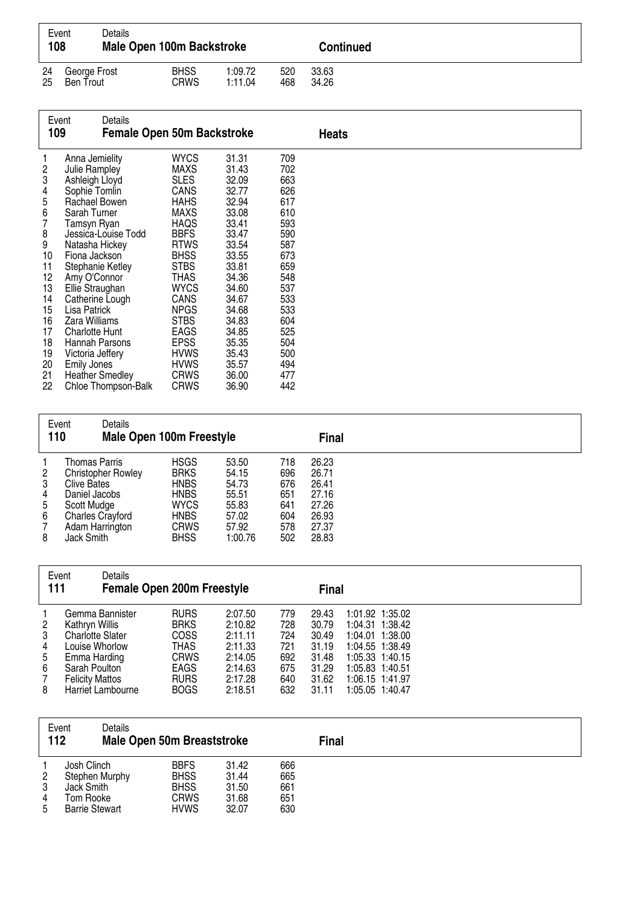| Event<br>108 |                                  | Details<br>Male Open 100m Backstroke |                     |                    |            | <b>Continued</b> |  |
|--------------|----------------------------------|--------------------------------------|---------------------|--------------------|------------|------------------|--|
| 24<br>25     | George Frost<br><b>Ben Trout</b> |                                      | <b>BHSS</b><br>CRWS | 1:09.72<br>1:11.04 | 520<br>468 | 33.63<br>34.26   |  |

| Event<br>109 | Details<br><b>Female Open 50m Backstroke</b> |                            |                |            | <b>Heats</b> |
|--------------|----------------------------------------------|----------------------------|----------------|------------|--------------|
| 1            | Anna Jemielity                               | <b>WYCS</b>                | 31.31          | 709        |              |
| 2<br>3       | Julie Rampley                                | <b>MAXS</b><br><b>SLES</b> | 31.43          | 702<br>663 |              |
| 4            | Ashleigh Lloyd<br>Sophie Tomlin              | CANS                       | 32.09<br>32.77 | 626        |              |
| 5            | Rachael Bowen                                | <b>HAHS</b>                | 32.94          | 617        |              |
| 6            | Sarah Turner                                 | MAXS                       | 33.08          | 610        |              |
| 7            | Tamsyn Ryan                                  | <b>HAQS</b>                | 33.41          | 593        |              |
| 8            | Jessica-Louise Todd                          | <b>BBFS</b>                | 33.47          | 590        |              |
| 9            | Natasha Hickey                               | <b>RTWS</b>                | 33.54          | 587        |              |
| 10           | Fiona Jackson                                | <b>BHSS</b>                | 33.55          | 673        |              |
| 11           | Stephanie Ketley                             | <b>STBS</b>                | 33.81          | 659        |              |
| 12           | Amy O'Connor                                 | <b>THAS</b>                | 34.36          | 548        |              |
| 13           | Ellie Straughan                              | <b>WYCS</b>                | 34.60          | 537        |              |
| 14           | Catherine Lough                              | CANS                       | 34.67          | 533        |              |
| 15           | Lisa Patrick                                 | <b>NPGS</b>                | 34.68          | 533        |              |
| 16           | Zara Williams                                | <b>STBS</b>                | 34.83          | 604        |              |
| 17           | <b>Charlotte Hunt</b>                        | EAGS                       | 34.85          | 525        |              |
| 18           | Hannah Parsons                               | <b>EPSS</b>                | 35.35          | 504        |              |
| 19<br>20     | Victoria Jeffery<br><b>Emily Jones</b>       | <b>HVWS</b><br><b>HVWS</b> | 35.43<br>35.57 | 500<br>494 |              |
| 21           | <b>Heather Smedley</b>                       | <b>CRWS</b>                | 36.00          | 477        |              |
| 22           | Chloe Thompson-Balk                          | <b>CRWS</b>                | 36.90          | 442        |              |

| Event<br>110                                              | Details<br>Male Open 100m Freestyle                                                                                                                          |                                                                                                                      |                                                                        |                                                      | <b>Final</b>                                                         |  |
|-----------------------------------------------------------|--------------------------------------------------------------------------------------------------------------------------------------------------------------|----------------------------------------------------------------------------------------------------------------------|------------------------------------------------------------------------|------------------------------------------------------|----------------------------------------------------------------------|--|
| $\overline{2}$<br>3<br>4<br>5<br>6<br>$\overline{7}$<br>8 | Thomas Parris<br><b>Christopher Rowley</b><br><b>Clive Bates</b><br>Daniel Jacobs<br>Scott Mudge<br><b>Charles Crayford</b><br>Adam Harrington<br>Jack Smith | <b>HSGS</b><br><b>BRKS</b><br><b>HNBS</b><br><b>HNBS</b><br><b>WYCS</b><br><b>HNBS</b><br><b>CRWS</b><br><b>BHSS</b> | 53.50<br>54.15<br>54.73<br>55.51<br>55.83<br>57.02<br>57.92<br>1:00.76 | 718<br>696<br>676<br>651<br>641<br>604<br>578<br>502 | 26.23<br>26.71<br>26.41<br>27.16<br>27.26<br>26.93<br>27.37<br>28.83 |  |

| Event<br>111   | Details<br><b>Female Open 200m Freestyle</b> |                            |                    |            | <b>Final</b>   |                                    |  |
|----------------|----------------------------------------------|----------------------------|--------------------|------------|----------------|------------------------------------|--|
| $\overline{2}$ | Gemma Bannister<br>Kathryn Willis            | <b>RURS</b><br><b>BRKS</b> | 2:07.50<br>2:10.82 | 779<br>728 | 29.43<br>30.79 | 1:01.92 1:35.02<br>1:04.31 1:38.42 |  |
| 3              | <b>Charlotte Slater</b>                      | COSS                       | 2:11.11            | 724        | 30.49          | 1:04.01 1:38.00                    |  |
| 4              | Louise Whorlow                               | THAS                       | 2:11.33            | 721        | 31.19          | 1:04.55 1:38.49                    |  |
| 5              | Emma Harding                                 | CRWS                       | 2:14.05            | 692        | 31.48          | 1:05.33 1:40.15                    |  |
| 6              | Sarah Poulton                                | <b>EAGS</b>                | 2:14.63            | 675        | 31.29          | 1:05.83 1:40.51                    |  |
| 7              | <b>Felicity Mattos</b>                       | <b>RURS</b>                | 2:17.28            | 640        | 31.62          | 1:06.15 1:41.97                    |  |
| 8              | Harriet Lambourne                            | <b>BOGS</b>                | 2:18.51            | 632        | 31.11          |                                    |  |

| Event<br>112             | Details                                                                           | <b>Male Open 50m Breaststroke</b>                                |                                           |                                 | <b>Final</b> |  |
|--------------------------|-----------------------------------------------------------------------------------|------------------------------------------------------------------|-------------------------------------------|---------------------------------|--------------|--|
| $\overline{2}$<br>3<br>4 | Josh Clinch<br>Stephen Murphy<br>Jack Smith<br>Tom Rooke<br><b>Barrie Stewart</b> | <b>BBFS</b><br><b>BHSS</b><br><b>BHSS</b><br>CRWS<br><b>HVWS</b> | 31.42<br>31.44<br>31.50<br>31.68<br>32.07 | 666<br>665<br>661<br>651<br>630 |              |  |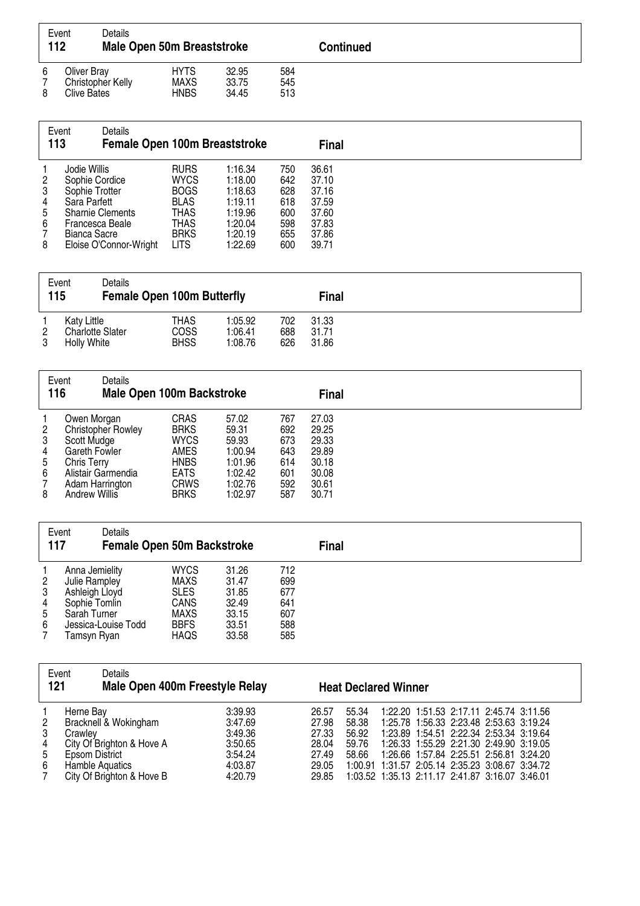| Event<br>112 | Details                                                | Male Open 50m Breaststroke  |                         |                   | <b>Continued</b> |  |
|--------------|--------------------------------------------------------|-----------------------------|-------------------------|-------------------|------------------|--|
| 6<br>8       | Oliver Bray<br>Christopher Kelly<br><b>Clive Bates</b> | <b>HYTS</b><br>MAXS<br>HNBS | 32.95<br>33.75<br>34.45 | 584<br>545<br>513 |                  |  |

| Event<br>113                                 | Details<br><b>Female Open 100m Breaststroke</b>                                                                                                          |                                                                                                        |                                                                                      |                                                      | <b>Final</b>                                                         |  |
|----------------------------------------------|----------------------------------------------------------------------------------------------------------------------------------------------------------|--------------------------------------------------------------------------------------------------------|--------------------------------------------------------------------------------------|------------------------------------------------------|----------------------------------------------------------------------|--|
| $\overline{2}$<br>3<br>4<br>5<br>6<br>7<br>8 | Jodie Willis<br>Sophie Cordice<br>Sophie Trotter<br>Sara Parfett<br><b>Sharnie Clements</b><br>Francesca Beale<br>Bianca Sacre<br>Eloise O'Connor-Wright | <b>RURS</b><br><b>WYCS</b><br><b>BOGS</b><br><b>BLAS</b><br>THAS<br>THAS<br><b>BRKS</b><br><b>LITS</b> | 1:16.34<br>1:18.00<br>1:18.63<br>1:19.11<br>1:19.96<br>1:20.04<br>1:20.19<br>1:22.69 | 750<br>642<br>628<br>618<br>600<br>598<br>655<br>600 | 36.61<br>37.10<br>37.16<br>37.59<br>37.60<br>37.83<br>37.86<br>39.71 |  |

| Event<br>115        | Details<br><b>Female Open 100m Butterfly</b>          |                             |                               |                   | Final                   |  |
|---------------------|-------------------------------------------------------|-----------------------------|-------------------------------|-------------------|-------------------------|--|
| $\overline{2}$<br>3 | Katy Little<br><b>Charlotte Slater</b><br>Holly White | THAS<br>coss<br><b>BHSS</b> | 1:05.92<br>1:06.41<br>1:08.76 | 702<br>688<br>626 | 31.33<br>31.71<br>31.86 |  |

| Event<br>116    |                      | Details                   | <b>Male Open 100m Backstroke</b> |         |     | <b>Final</b> |  |
|-----------------|----------------------|---------------------------|----------------------------------|---------|-----|--------------|--|
|                 | Owen Morgan          |                           | <b>CRAS</b>                      | 57.02   | 767 | 27.03        |  |
| $\overline{2}$  |                      | <b>Christopher Rowley</b> | <b>BRKS</b>                      | 59.31   | 692 | 29.25        |  |
| 3               | Scott Mudge          |                           | <b>WYCS</b>                      | 59.93   | 673 | 29.33        |  |
| 4               | Gareth Fowler        |                           | AMES                             | 1:00.94 | 643 | 29.89        |  |
| $5\overline{)}$ | Chris Terry          |                           | <b>HNBS</b>                      | 1:01.96 | 614 | 30.18        |  |
| 6               |                      | Alistair Garmendia        | <b>EATS</b>                      | 1:02.42 | 601 | 30.08        |  |
| 7               | Adam Harrington      |                           | <b>CRWS</b>                      | 1:02.76 | 592 | 30.61        |  |
| 8               | <b>Andrew Willis</b> |                           | <b>BRKS</b>                      | 1:02.97 | 587 | 30.71        |  |

| Event<br>117                       | Details<br><b>Female Open 50m Backstroke</b>                                                                             |                                                                                                |                                                             |                                               | <b>Final</b> |  |
|------------------------------------|--------------------------------------------------------------------------------------------------------------------------|------------------------------------------------------------------------------------------------|-------------------------------------------------------------|-----------------------------------------------|--------------|--|
| $\overline{2}$<br>3<br>4<br>5<br>6 | Anna Jemielity<br>Julie Rampley<br>Ashleigh Lloyd<br>Sophie Tomlin<br>Sarah Turner<br>Jessica-Louise Todd<br>Tamsyn Ryan | <b>WYCS</b><br><b>MAXS</b><br><b>SLES</b><br><b>CANS</b><br><b>MAXS</b><br><b>BBFS</b><br>HAQS | 31.26<br>31.47<br>31.85<br>32.49<br>33.15<br>33.51<br>33.58 | 712<br>699<br>677<br>641<br>607<br>588<br>585 |              |  |

| Event<br>121                            | Details                                                                                                                                             | Male Open 400m Freestyle Relay |                                                                           | <b>Heat Declared Winner</b>                                 |                                           |                                                                                                                                                                                              |  |                                                                                                                               |  |  |
|-----------------------------------------|-----------------------------------------------------------------------------------------------------------------------------------------------------|--------------------------------|---------------------------------------------------------------------------|-------------------------------------------------------------|-------------------------------------------|----------------------------------------------------------------------------------------------------------------------------------------------------------------------------------------------|--|-------------------------------------------------------------------------------------------------------------------------------|--|--|
| $\overline{2}$<br>3<br>4<br>5<br>6<br>7 | Herne Bay<br>Bracknell & Wokingham<br>Crawley<br>City Of Brighton & Hove A<br><b>Epsom District</b><br>Hamble Aquatics<br>City Of Brighton & Hove B |                                | 3:39.93<br>3:47.69<br>3:49.36<br>3:50.65<br>3:54.24<br>4:03.87<br>4:20.79 | 26.57<br>27.98<br>27.33<br>28.04<br>27.49<br>29.05<br>29.85 | 55.34<br>58.38<br>56.92<br>59.76<br>58.66 | 1:23.89  1:54.51  2:22.34  2:53.34  3:19.64<br>1:26.33 1:55.29 2:21.30 2:49.90 3:19.05<br>1:00.91 1:31.57 2:05.14 2:35.23 3:08.67 3:34.72<br>1:03.52 1:35.13 2:11.17 2:41.87 3:16.07 3:46.01 |  | 1:22.20 1:51.53 2:17.11 2:45.74 3:11.56<br>1:25.78 1:56.33 2:23.48 2:53.63 3:19.24<br>1:26.66 1:57.84 2:25.51 2:56.81 3:24.20 |  |  |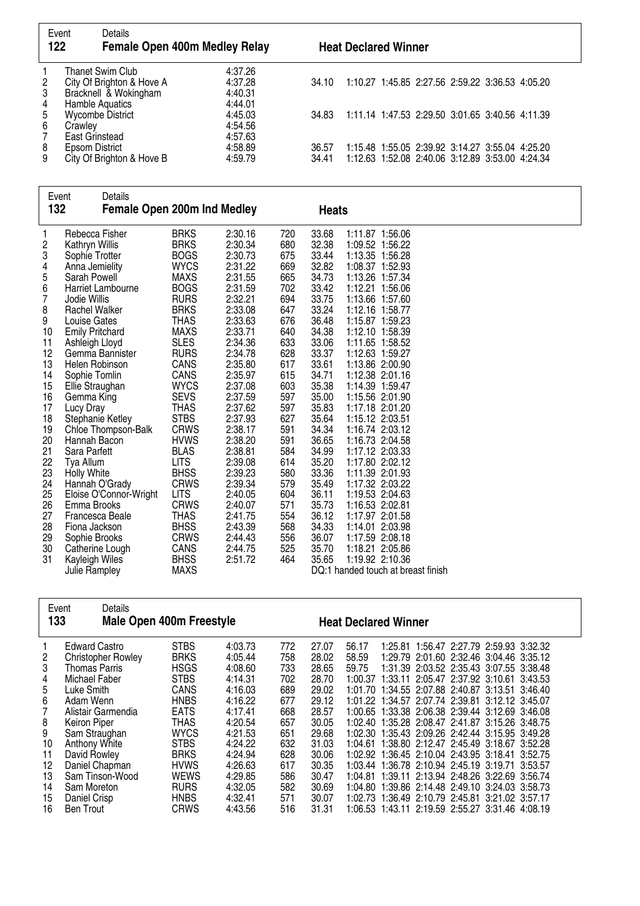| Event<br>122  |                  | Details                                            | <b>Female Open 400m Medley Relay</b> |       | <b>Heat Declared Winner</b>                     |  |                                                      |  |
|---------------|------------------|----------------------------------------------------|--------------------------------------|-------|-------------------------------------------------|--|------------------------------------------------------|--|
|               | Thanet Swim Club |                                                    | 4:37.26                              |       |                                                 |  |                                                      |  |
| $\frac{2}{3}$ |                  |                                                    | 4:37.28                              | 34.10 |                                                 |  | 1:10.27 1:45.85 2:27.56 2:59.22 3:36.53 4:05.20      |  |
|               |                  | City Of Brighton & Hove A<br>Bracknell & Wokingham | 4:40.31                              |       |                                                 |  |                                                      |  |
| 4             | Hamble Aquatics  |                                                    | 4:44.01                              |       |                                                 |  |                                                      |  |
| 5             | Wycombe District |                                                    | 4:45.03                              | 34.83 | 1:11.14 1:47.53 2:29.50 3:01.65 3:40.56 4:11.39 |  |                                                      |  |
| 6             | Crawley          |                                                    | 4:54.56                              |       |                                                 |  |                                                      |  |
| 7             | East Grinstead   |                                                    | 4:57.63                              |       |                                                 |  |                                                      |  |
| 8             | Epsom District   |                                                    | 4:58.89                              | 36.57 |                                                 |  | 1:15.48  1:55.05  2:39.92  3:14.27  3:55.04  4:25.20 |  |
| 9             |                  | City Of Brighton & Hove B                          | 4:59.79                              | 34.41 |                                                 |  | 1:12.63 1:52.08 2:40.06 3:12.89 3:53.00 4:24.34      |  |

|     | Details<br>Event                   |             |         |     |              |                                    |  |
|-----|------------------------------------|-------------|---------|-----|--------------|------------------------------------|--|
| 132 | <b>Female Open 200m Ind Medley</b> |             |         |     | <b>Heats</b> |                                    |  |
| 1   | Rebecca Fisher                     | <b>BRKS</b> | 2:30.16 | 720 | 33.68        | 1:11.87 1:56.06                    |  |
| 2   | Kathryn Willis                     | <b>BRKS</b> | 2:30.34 | 680 | 32.38        | 1:09.52 1:56.22                    |  |
| 3   | Sophie Trotter                     | <b>BOGS</b> | 2:30.73 | 675 | 33.44        | 1:13.35 1:56.28                    |  |
| 4   | Anna Jemielity                     | <b>WYCS</b> | 2:31.22 | 669 | 32.82        | 1:08.37 1:52.93                    |  |
| 5   | Sarah Powell                       | <b>MAXS</b> | 2:31.55 | 665 | 34.73        | 1:13.26 1:57.34                    |  |
| 6   | Harriet Lambourne                  | <b>BOGS</b> | 2:31.59 | 702 | 33.42        | 1:12.21 1:56.06                    |  |
| 7   | Jodie Willis                       | <b>RURS</b> | 2:32.21 | 694 | 33.75        | 1:13.66 1:57.60                    |  |
| 8   | Rachel Walker                      | <b>BRKS</b> | 2:33.08 | 647 | 33.24        | 1:12.16 1:58.77                    |  |
| 9   | Louise Gates                       | <b>THAS</b> | 2:33.63 | 676 | 36.48        | 1:15.87 1:59.23                    |  |
| 10  | <b>Emily Pritchard</b>             | <b>MAXS</b> | 2:33.71 | 640 | 34.38        | 1:12.10 1:58.39                    |  |
| 11  | Ashleigh Lloyd                     | <b>SLES</b> | 2:34.36 | 633 | 33.06        | 1:11.65 1:58.52                    |  |
| 12  | Gemma Bannister                    | <b>RURS</b> | 2:34.78 | 628 | 33.37        | 1:12.63 1:59.27                    |  |
| 13  | Helen Robinson                     | CANS        | 2:35.80 | 617 | 33.61        | 1:13.86 2:00.90                    |  |
| 14  | Sophie Tomlin                      | CANS        | 2:35.97 | 615 | 34.71        | 1:12.38 2:01.16                    |  |
| 15  | Ellie Straughan                    | <b>WYCS</b> | 2:37.08 | 603 | 35.38        | 1:14.39 1:59.47                    |  |
| 16  | Gemma King                         | <b>SEVS</b> | 2:37.59 | 597 | 35.00        | 1:15.56 2:01.90                    |  |
| 17  | Lucy Dray                          | <b>THAS</b> | 2:37.62 | 597 | 35.83        | 1:17.18 2:01.20                    |  |
| 18  | <b>Stephanie Ketley</b>            | <b>STBS</b> | 2:37.93 | 627 | 35.64        | 1:15.12 2:03.51                    |  |
| 19  | Chloe Thompson-Balk                | <b>CRWS</b> | 2:38.17 | 591 | 34.34        | 1:16.74 2:03.12                    |  |
| 20  | Hannah Bacon                       | <b>HVWS</b> | 2:38.20 | 591 | 36.65        | 1:16.73 2:04.58                    |  |
| 21  | Sara Parfett                       | <b>BLAS</b> | 2:38.81 | 584 | 34.99        | 1:17.12 2:03.33                    |  |
| 22  | Tya Allum                          | <b>LITS</b> | 2:39.08 | 614 | 35.20        | 1:17.80 2:02.12                    |  |
| 23  | <b>Holly White</b>                 | <b>BHSS</b> | 2:39.23 | 580 | 33.36        | 1:11.39 2:01.93                    |  |
| 24  | Hannah O'Grady                     | <b>CRWS</b> | 2:39.34 | 579 | 35.49        | 1:17.32 2:03.22                    |  |
| 25  | Eloise O'Connor-Wright             | <b>LITS</b> | 2:40.05 | 604 | 36.11        | 1:19.53 2:04.63                    |  |
| 26  | Emma Brooks                        | <b>CRWS</b> | 2:40.07 | 571 | 35.73        | 1:16.53 2:02.81                    |  |
| 27  | Francesca Beale                    | <b>THAS</b> | 2:41.75 | 554 | 36.12        | 1:17.97 2:01.58                    |  |
| 28  | Fiona Jackson                      | <b>BHSS</b> | 2:43.39 | 568 | 34.33        | 1:14.01 2:03.98                    |  |
| 29  | Sophie Brooks                      | <b>CRWS</b> | 2:44.43 | 556 | 36.07        | 1:17.59 2:08.18                    |  |
| 30  | Catherine Lough                    | <b>CANS</b> | 2:44.75 | 525 | 35.70        | 1:18.21 2:05.86                    |  |
| 31  | Kayleigh Wiles                     | <b>BHSS</b> | 2:51.72 | 464 | 35.65        | 1:19.92 2:10.36                    |  |
|     | Julie Rampley                      | MAXS        |         |     |              | DQ:1 handed touch at breast finish |  |

| 133<br><b>Male Open 400m Freestyle</b><br><b>Heat Declared Winner</b>                                                                                                                                                                                                                                                                                                                                                                                                                                                                                                                                                                                                                                                                                                                                                                                                                                                                                                                                                                                                                                                                                                                                         |                                                                                                                                                                                                                                                                                                                                                                                                                                                                                                                                                                                                                                                                                                                                         |
|---------------------------------------------------------------------------------------------------------------------------------------------------------------------------------------------------------------------------------------------------------------------------------------------------------------------------------------------------------------------------------------------------------------------------------------------------------------------------------------------------------------------------------------------------------------------------------------------------------------------------------------------------------------------------------------------------------------------------------------------------------------------------------------------------------------------------------------------------------------------------------------------------------------------------------------------------------------------------------------------------------------------------------------------------------------------------------------------------------------------------------------------------------------------------------------------------------------|-----------------------------------------------------------------------------------------------------------------------------------------------------------------------------------------------------------------------------------------------------------------------------------------------------------------------------------------------------------------------------------------------------------------------------------------------------------------------------------------------------------------------------------------------------------------------------------------------------------------------------------------------------------------------------------------------------------------------------------------|
| <b>STBS</b><br>4:03.73<br><b>Edward Castro</b><br>772<br>27.07<br>56.17<br><b>BRKS</b><br><b>Christopher Rowley</b><br>4:05.44<br>758<br>28.02<br>58.59<br>2<br>1:29.79<br>3<br><b>HSGS</b><br><b>Thomas Parris</b><br>4:08.60<br>733<br>28.65<br>59.75<br><b>STBS</b><br>Michael Faber<br>4:14.31<br>702<br>28.70<br>4<br>1:00.37<br>Luke Smith<br>CANS<br>5<br>4:16.03<br>689<br>29.02<br>1:01.70<br><b>HNBS</b><br>Adam Wenn<br>4:16.22<br>6<br>677<br>29.12<br>1:01.22<br><b>EATS</b><br>Alistair Garmendia<br>4:17.41<br>668<br>28.57<br>1:00.65<br>THAS<br>Keiron Piper<br>8<br>4:20.54<br>657<br>30.05<br>Sam Straughan<br><b>WYCS</b><br>9<br>4:21.53<br>651<br>29.68<br>1:02.30<br>Anthony White<br><b>STBS</b><br>4:24.22<br>632<br>31.03<br>10<br>1:04.61<br><b>BRKS</b><br>4:24.94<br>David Rowley<br>628<br>30.06<br>1:02.92<br>11<br>Daniel Chapman<br><b>HVWS</b><br>4:26.63<br>617<br>30.35<br>12<br><b>WEWS</b><br>Sam Tinson-Wood<br>4:29.85<br>586<br>30.47<br>13<br>1:04.81<br><b>RURS</b><br>Sam Moreton<br>4:32.05<br>582<br>30.69<br>1:04.80<br>14<br>Daniel Crisp<br><b>HNBS</b><br>571<br>4:32.41<br>15<br>30.07<br><b>Ben Trout</b><br><b>CRWS</b><br>4:43.56<br>516<br>16<br>31.31 | 1:25.81 1:56.47 2:27.79 2:59.93 3:32.32<br>2:01.60 2:32.46 3:04.46 3:35.12<br>1:31.39 2:03.52 2:35.43 3:07.55 3:38.48<br>1:33.11 2:05.47 2:37.92 3:10.61 3:43.53<br>1:34.55 2:07.88 2:40.87 3:13.51 3:46.40<br>1:34.57 2:07.74 2:39.81 3:12.12 3:45.07<br>1:33.38 2:06.38 2:39.44 3:12.69 3:46.08<br>1:02.40 1:35.28 2:08.47 2:41.87 3:15.26 3:48.75<br>1:35.43 2:09.26 2:42.44 3:15.95 3:49.28<br>1:38.80 2:12.47 2:45.49 3:18.67 3:52.28<br>1:36.45 2:10.04 2:43.95 3:18.41<br>3:52.75<br>1:03.44 1:36.78 2:10.94 2:45.19 3:19.71 3:53.57<br>1:39.11 2:13.94 2:48.26 3:22.69 3:56.74<br>1:39.86 2:14.48 2:49.10 3:24.03 3:58.73<br>1:02.73 1:36.49 2:10.79 2:45.81 3:21.02 3:57.17<br>1:06.53 1:43.11 2:19.59 2:55.27 3:31.46 4:08.19 |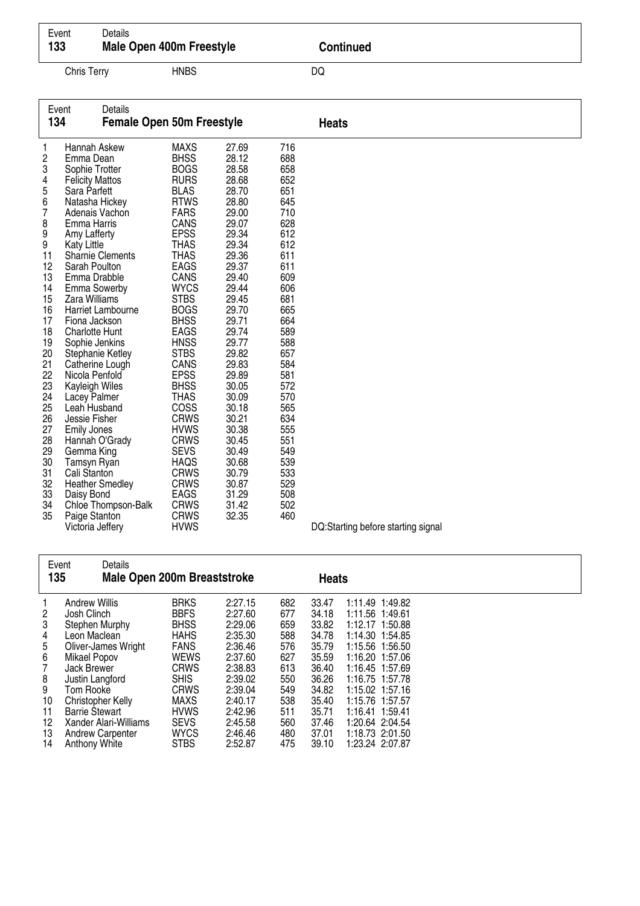| Event<br>133 | Details<br>Male Open 400m Freestyle | <b>Continued</b> |  |
|--------------|-------------------------------------|------------------|--|
| Chris Terry  | <b>HNBS</b>                         | DQ               |  |

| 134                                                                                                                                                                                                  | Event                                                                                                                                                                                                                                                                                                                                                                                                                                                                                                                                    | Details<br><b>Female Open 50m Freestyle</b>                                                                |                                                                                                                                                                                                                                                                                                                                                                                                                                                                                                        |                                                                                                                                                                                                                                                                                                                         |                                                                                                                                                                                                                                                   | <b>Heats</b>                       |
|------------------------------------------------------------------------------------------------------------------------------------------------------------------------------------------------------|------------------------------------------------------------------------------------------------------------------------------------------------------------------------------------------------------------------------------------------------------------------------------------------------------------------------------------------------------------------------------------------------------------------------------------------------------------------------------------------------------------------------------------------|------------------------------------------------------------------------------------------------------------|--------------------------------------------------------------------------------------------------------------------------------------------------------------------------------------------------------------------------------------------------------------------------------------------------------------------------------------------------------------------------------------------------------------------------------------------------------------------------------------------------------|-------------------------------------------------------------------------------------------------------------------------------------------------------------------------------------------------------------------------------------------------------------------------------------------------------------------------|---------------------------------------------------------------------------------------------------------------------------------------------------------------------------------------------------------------------------------------------------|------------------------------------|
| 1<br>2<br>3<br>4<br>5<br>6<br>7<br>8<br>9<br>9<br>11<br>12<br>13<br>14<br>15<br>16<br>17<br>18<br>19<br>20<br>21<br>22<br>23<br>24<br>25<br>26<br>27<br>28<br>29<br>30<br>31<br>32<br>33<br>34<br>35 | Hannah Askew<br>Emma Dean<br>Sophie Trotter<br><b>Felicity Mattos</b><br>Sara Parfett<br>Natasha Hickey<br>Adenais Vachon<br>Emma Harris<br>Amy Lafferty<br><b>Katy Little</b><br>Sarah Poulton<br>Emma Drabble<br>Emma Sowerby<br>Zara Williams<br>Fiona Jackson<br><b>Charlotte Hunt</b><br>Sophie Jenkins<br>Catherine Lough<br>Nicola Penfold<br>Kayleigh Wiles<br>Lacey Palmer<br>Leah Husband<br>Jessie Fisher<br><b>Emily Jones</b><br>Hannah O'Grady<br>Gemma King<br>Tamsyn Ryan<br>Cali Stanton<br>Daisy Bond<br>Paige Stanton | Sharnie Clements<br>Harriet Lambourne<br>Stephanie Ketley<br><b>Heather Smedley</b><br>Chloe Thompson-Balk | <b>MAXS</b><br><b>BHSS</b><br><b>BOGS</b><br><b>RURS</b><br><b>BLAS</b><br><b>RTWS</b><br><b>FARS</b><br>CANS<br><b>EPSS</b><br><b>THAS</b><br><b>THAS</b><br><b>EAGS</b><br>CANS<br><b>WYCS</b><br><b>STBS</b><br><b>BOGS</b><br><b>BHSS</b><br>EAGS<br><b>HNSS</b><br><b>STBS</b><br>CANS<br><b>EPSS</b><br><b>BHSS</b><br><b>THAS</b><br>COSS<br><b>CRWS</b><br><b>HVWS</b><br><b>CRWS</b><br><b>SEVS</b><br><b>HAQS</b><br><b>CRWS</b><br><b>CRWS</b><br><b>EAGS</b><br><b>CRWS</b><br><b>CRWS</b> | 27.69<br>28.12<br>28.58<br>28.68<br>28.70<br>28.80<br>29.00<br>29.07<br>29.34<br>29.34<br>29.36<br>29.37<br>29.40<br>29.44<br>29.45<br>29.70<br>29.71<br>29.74<br>29.77<br>29.82<br>29.83<br>29.89<br>30.05<br>30.09<br>30.18<br>30.21<br>30.38<br>30.45<br>30.49<br>30.68<br>30.79<br>30.87<br>31.29<br>31.42<br>32.35 | 716<br>688<br>658<br>652<br>651<br>645<br>710<br>628<br>612<br>612<br>611<br>611<br>609<br>606<br>681<br>665<br>664<br>589<br>588<br>657<br>584<br>581<br>572<br>570<br>565<br>634<br>555<br>551<br>549<br>539<br>533<br>529<br>508<br>502<br>460 |                                    |
|                                                                                                                                                                                                      | Victoria Jeffery                                                                                                                                                                                                                                                                                                                                                                                                                                                                                                                         |                                                                                                            | <b>HVWS</b>                                                                                                                                                                                                                                                                                                                                                                                                                                                                                            |                                                                                                                                                                                                                                                                                                                         |                                                                                                                                                                                                                                                   | DQ:Starting before starting signal |

| Event                                                             | Details                                                                                                                                                                                                                                                              |                                                                                                                                                                                          |                                                                                                                                             |                                                                                         |                                                                                                                   |                                                                                                                                                                                                                                                     |  |
|-------------------------------------------------------------------|----------------------------------------------------------------------------------------------------------------------------------------------------------------------------------------------------------------------------------------------------------------------|------------------------------------------------------------------------------------------------------------------------------------------------------------------------------------------|---------------------------------------------------------------------------------------------------------------------------------------------|-----------------------------------------------------------------------------------------|-------------------------------------------------------------------------------------------------------------------|-----------------------------------------------------------------------------------------------------------------------------------------------------------------------------------------------------------------------------------------------------|--|
| 135                                                               | <b>Male Open 200m Breaststroke</b>                                                                                                                                                                                                                                   |                                                                                                                                                                                          |                                                                                                                                             |                                                                                         | <b>Heats</b>                                                                                                      |                                                                                                                                                                                                                                                     |  |
| 1<br>2<br>3<br>4<br>5<br>6<br>7<br>8<br>9<br>10<br>11<br>12<br>13 | <b>Andrew Willis</b><br>Josh Clinch<br>Stephen Murphy<br>Leon Maclean<br>Oliver-James Wright<br>Mikael Popov<br><b>Jack Brewer</b><br>Justin Langford<br>Tom Rooke<br>Christopher Kelly<br><b>Barrie Stewart</b><br>Xander Alari-Williams<br><b>Andrew Carpenter</b> | <b>BRKS</b><br><b>BBFS</b><br><b>BHSS</b><br><b>HAHS</b><br><b>FANS</b><br><b>WEWS</b><br><b>CRWS</b><br><b>SHIS</b><br><b>CRWS</b><br>MAXS<br><b>HVWS</b><br><b>SEVS</b><br><b>WYCS</b> | 2:27.15<br>2:27.60<br>2:29.06<br>2:35.30<br>2:36.46<br>2:37.60<br>2:38.83<br>2:39.02<br>2:39.04<br>2:40.17<br>2:42.96<br>2:45.58<br>2:46.46 | 682<br>677<br>659<br>588<br>576<br>627<br>613<br>550<br>549<br>538<br>511<br>560<br>480 | 33.47<br>34.18<br>33.82<br>34.78<br>35.79<br>35.59<br>36.40<br>36.26<br>34.82<br>35.40<br>35.71<br>37.46<br>37.01 | 1:11.49 1:49.82<br>1:11.56 1:49.61<br>1:12.17 1:50.88<br>1:14.30 1:54.85<br>1:15.56 1:56.50<br>1:16.20 1:57.06<br>1:16.45 1:57.69<br>1:16.75 1:57.78<br>1:15.02 1:57.16<br>1:15.76 1:57.57<br>1:16.41 1:59.41<br>1:20.64 2:04.54<br>1:18.73 2:01.50 |  |
| 14                                                                | Anthony White                                                                                                                                                                                                                                                        | <b>STBS</b>                                                                                                                                                                              | 2:52.87                                                                                                                                     | 475                                                                                     | 39.10                                                                                                             | 1:23.24 2:07.87                                                                                                                                                                                                                                     |  |

 $\mathsf{r}$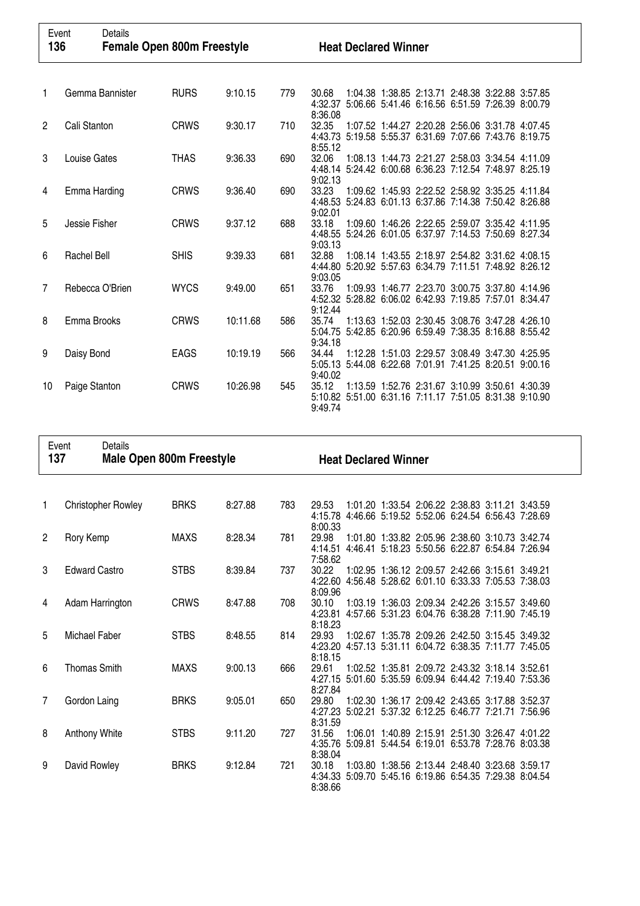| 136            | Details<br>Event<br><b>Female Open 800m Freestyle</b> |             |          |     | <b>Heat Declared Winner</b>                                                                                                    |
|----------------|-------------------------------------------------------|-------------|----------|-----|--------------------------------------------------------------------------------------------------------------------------------|
|                |                                                       |             |          |     |                                                                                                                                |
|                | Gemma Bannister                                       | <b>RURS</b> | 9:10.15  | 779 | 30.68<br>1:04.38 1:38.85 2:13.71 2:48.38 3:22.88 3:57.85<br>4:32.37 5:06.66 5:41.46 6:16.56 6:51.59 7:26.39 8:00.79<br>8:36.08 |
| $\overline{2}$ | Cali Stanton                                          | <b>CRWS</b> | 9:30.17  | 710 | 32.35<br>1:07.52 1:44.27 2:20.28 2:56.06 3:31.78 4:07.45<br>4.43.73 5.19.58 5.55.37 6.31.69 7.07.66 7.43.76 8.19.75<br>8:55.12 |
| 3              | Louise Gates                                          | <b>THAS</b> | 9:36.33  | 690 | 32.06<br>1:08.13 1:44.73 2:21.27 2:58.03 3:34.54 4:11.09<br>4:48.14 5:24.42 6:00.68 6:36.23 7:12.54 7:48.97 8:25.19<br>9:02.13 |
| 4              | Emma Harding                                          | <b>CRWS</b> | 9:36.40  | 690 | 33.23<br>1:09.62 1:45.93 2:22.52 2:58.92 3:35.25 4:11.84<br>4:48.53 5:24.83 6:01.13 6:37.86 7:14.38 7:50.42 8:26.88<br>9:02.01 |
| 5              | Jessie Fisher                                         | <b>CRWS</b> | 9:37.12  | 688 | 33.18<br>1:09.60 1:46.26 2:22.65 2:59.07 3:35.42 4:11.95<br>4:48.55 5:24.26 6:01.05 6:37.97 7:14.53 7:50.69 8:27.34<br>9:03.13 |
| 6              | Rachel Bell                                           | <b>SHIS</b> | 9:39.33  | 681 | 32.88<br>1:08.14 1:43.55 2:18.97 2:54.82 3:31.62 4:08.15<br>4:44.80 5:20.92 5:57.63 6:34.79 7:11.51 7:48.92 8:26.12<br>9:03.05 |
| $\overline{7}$ | Rebecca O'Brien                                       | <b>WYCS</b> | 9:49.00  | 651 | 33.76<br>1:09.93 1:46.77 2:23.70 3:00.75 3:37.80 4:14.96<br>4:52.32 5:28.82 6:06.02 6:42.93 7:19.85 7:57.01 8:34.47<br>9:12.44 |
| 8              | Emma Brooks                                           | <b>CRWS</b> | 10:11.68 | 586 | 35.74<br>1:13.63 1:52.03 2:30.45 3:08.76 3:47.28 4:26.10<br>5:04.75 5:42.85 6:20.96 6:59.49 7:38.35 8:16.88 8:55.42<br>9:34.18 |
| 9              | Daisy Bond                                            | <b>EAGS</b> | 10:19.19 | 566 | 34.44<br>1:12.28 1:51.03 2:29.57 3:08.49 3:47.30 4:25.95<br>5:05.13 5:44.08 6:22.68 7:01.91 7:41.25 8:20.51 9:00.16<br>9:40.02 |
| 10             | Paige Stanton                                         | <b>CRWS</b> | 10:26.98 | 545 | 35.12<br>1:13.59 1:52.76 2:31.67 3:10.99 3:50.61 4:30.39<br>5:10.82 5:51.00 6:31.16 7:11.17 7:51.05 8:31.38 9:10.90<br>9:49.74 |

| Event<br>137   | Details<br><b>Male Open 800m Freestyle</b> |             |         |     | <b>Heat Declared Winner</b>                                                                                                       |
|----------------|--------------------------------------------|-------------|---------|-----|-----------------------------------------------------------------------------------------------------------------------------------|
|                |                                            |             |         |     |                                                                                                                                   |
| $\mathbf{1}$   | <b>Christopher Rowley</b>                  | <b>BRKS</b> | 8:27.88 | 783 | 29.53<br>1:01.20 1:33.54 2:06.22 2:38.83 3:11.21 3:43.59<br>4:46.66 5:19.52 5:52.06 6:24.54 6:56.43 7:28.69<br>4:15.78<br>8:00.33 |
| $\overline{2}$ | Rory Kemp                                  | <b>MAXS</b> | 8:28.34 | 781 | 29.98<br>1:01.80 1:33.82 2:05.96 2:38.60 3:10.73 3:42.74<br>4.46.41 5.18.23 5.50.56 6.22.87 6.54.84 7.26.94<br>4:14.51<br>7:58.62 |
| 3              | <b>Edward Castro</b>                       | <b>STBS</b> | 8:39.84 | 737 | 30.22<br>1:02.95 1:36.12 2:09.57 2:42.66 3:15.61 3:49.21<br>4:22.60 4:56.48 5:28.62 6:01.10 6:33.33 7:05.53 7:38.03<br>8:09.96    |
| 4              | Adam Harrington                            | <b>CRWS</b> | 8:47.88 | 708 | 1:03.19 1:36.03 2:09.34 2:42.26 3:15.57 3:49.60<br>30.10<br>4:23.81 4:57.66 5:31.23 6:04.76 6:38.28 7:11.90 7:45.19<br>8:18.23    |
| 5              | Michael Faber                              | <b>STBS</b> | 8:48.55 | 814 | 29.93<br>1:02.67 1:35.78 2:09.26 2:42.50 3:15.45 3:49.32<br>4:23.20 4:57.13 5:31.11 6:04.72 6:38.35 7:11.77 7:45.05<br>8:18.15    |
| 6              | <b>Thomas Smith</b>                        | <b>MAXS</b> | 9:00.13 | 666 | 1:02.52 1:35.81 2:09.72 2:43.32 3:18.14 3:52.61<br>29.61<br>4:27.15 5:01.60 5:35.59 6:09.94 6:44.42 7:19.40 7:53.36<br>8:27.84    |
| $\overline{7}$ | Gordon Laing                               | <b>BRKS</b> | 9:05.01 | 650 | 29.80<br>1:02.30 1:36.17 2:09.42 2:43.65 3:17.88 3:52.37<br>4:27.23 5:02.21 5:37.32 6:12.25 6:46.77 7:21.71 7:56.96<br>8:31.59    |
| 8              | Anthony White                              | <b>STBS</b> | 9:11.20 | 727 | 31.56<br>1:06.01 1:40.89 2:15.91 2:51.30 3:26.47 4:01.22<br>5.09.81 5.44.54 6.19.01 6.53.78 7.28.76 8.03.38<br>4:35.76<br>8:38.04 |
| 9              | David Rowley                               | <b>BRKS</b> | 9:12.84 | 721 | 1:03.80 1:38.56 2:13.44 2:48.40 3:23.68 3:59.17<br>30.18<br>4:34.33 5:09.70 5:45.16 6:19.86 6:54.35 7:29.38 8:04.54<br>8:38.66    |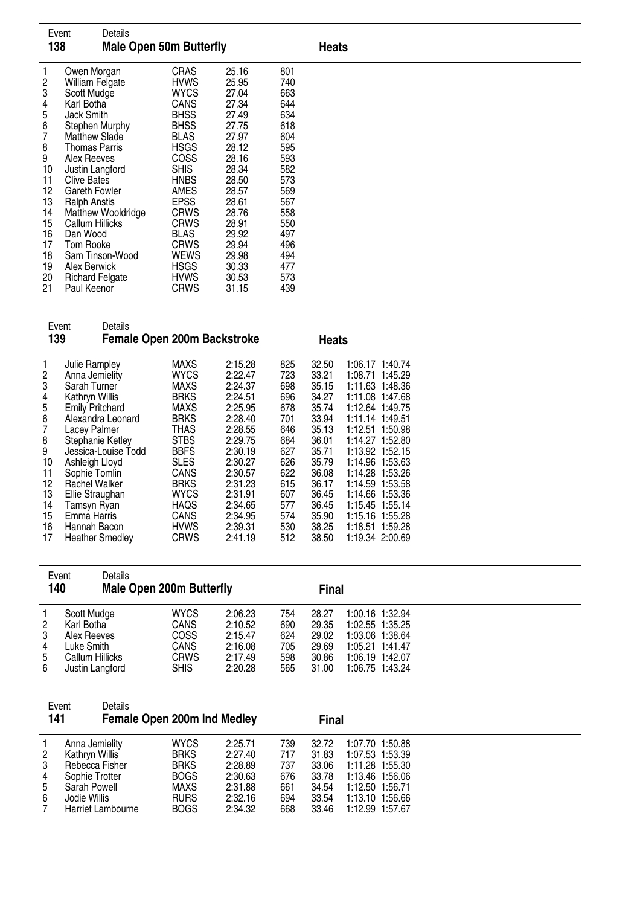| 138    | Details<br>Event       | <b>Male Open 50m Butterfly</b> |       |     | <b>Heats</b> |  |
|--------|------------------------|--------------------------------|-------|-----|--------------|--|
|        | Owen Morgan            | <b>CRAS</b>                    | 25.16 | 801 |              |  |
|        | William Felgate        | <b>HVWS</b>                    | 25.95 | 740 |              |  |
| 2<br>3 | Scott Mudge            | <b>WYCS</b>                    | 27.04 | 663 |              |  |
| 4      | Karl Botha             | <b>CANS</b>                    | 27.34 | 644 |              |  |
| 5      | Jack Smith             | <b>BHSS</b>                    | 27.49 | 634 |              |  |
| 6      | Stephen Murphy         | <b>BHSS</b>                    | 27.75 | 618 |              |  |
| 7      | <b>Matthew Slade</b>   | <b>BLAS</b>                    | 27.97 | 604 |              |  |
| 8      | <b>Thomas Parris</b>   | <b>HSGS</b>                    | 28.12 | 595 |              |  |
| 9      | Alex Reeves            | <b>COSS</b>                    | 28.16 | 593 |              |  |
| 10     | Justin Langford        | <b>SHIS</b>                    | 28.34 | 582 |              |  |
| 11     | <b>Clive Bates</b>     | <b>HNBS</b>                    | 28.50 | 573 |              |  |
| 12     | <b>Gareth Fowler</b>   | AMES                           | 28.57 | 569 |              |  |
| 13     | <b>Ralph Anstis</b>    | <b>EPSS</b>                    | 28.61 | 567 |              |  |
| 14     | Matthew Wooldridge     | <b>CRWS</b>                    | 28.76 | 558 |              |  |
| 15     | <b>Callum Hillicks</b> | <b>CRWS</b>                    | 28.91 | 550 |              |  |
| 16     | Dan Wood               | <b>BLAS</b>                    | 29.92 | 497 |              |  |
| 17     | Tom Rooke              | <b>CRWS</b>                    | 29.94 | 496 |              |  |
| 18     | Sam Tinson-Wood        | WEWS                           | 29.98 | 494 |              |  |
| 19     | Alex Berwick           | <b>HSGS</b>                    | 30.33 | 477 |              |  |
| 20     | <b>Richard Felgate</b> | <b>HVWS</b>                    | 30.53 | 573 |              |  |
| 21     | Paul Keenor            | <b>CRWS</b>                    | 31.15 | 439 |              |  |
|        |                        |                                |       |     |              |  |

 $\mathsf{r}$ 

| Event<br>139                                                        | Details                                                                                                                                                                                                                                                                          | <b>Female Open 200m Backstroke</b>                                                                                                                                                                                     |                                                                                                                                                                   |                                                                                                       | <b>Heats</b>                                                                                                                        |                                                                                                                                                                                                                                                                                           |  |
|---------------------------------------------------------------------|----------------------------------------------------------------------------------------------------------------------------------------------------------------------------------------------------------------------------------------------------------------------------------|------------------------------------------------------------------------------------------------------------------------------------------------------------------------------------------------------------------------|-------------------------------------------------------------------------------------------------------------------------------------------------------------------|-------------------------------------------------------------------------------------------------------|-------------------------------------------------------------------------------------------------------------------------------------|-------------------------------------------------------------------------------------------------------------------------------------------------------------------------------------------------------------------------------------------------------------------------------------------|--|
| 2<br>3<br>4<br>5<br>6<br>8<br>9<br>10<br>11<br>12<br>13<br>14<br>15 | Julie Rampley<br>Anna Jemielity<br>Sarah Turner<br>Kathryn Willis<br>Emily Pritchard<br>Alexandra Leonard<br>Lacey Palmer<br>Stephanie Ketley<br>Jessica-Louise Todd<br>Ashleigh Lloyd<br>Sophie Tomlin<br><b>Rachel Walker</b><br>Ellie Straughan<br>Tamsyn Ryan<br>Emma Harris | <b>MAXS</b><br><b>WYCS</b><br><b>MAXS</b><br><b>BRKS</b><br><b>MAXS</b><br><b>BRKS</b><br><b>THAS</b><br><b>STBS</b><br><b>BBFS</b><br><b>SLES</b><br>CANS<br><b>BRKS</b><br><b>WYCS</b><br><b>HAQS</b><br><b>CANS</b> | 2:15.28<br>2:22.47<br>2:24.37<br>2:24.51<br>2:25.95<br>2:28.40<br>2:28.55<br>2:29.75<br>2:30.19<br>2:30.27<br>2:30.57<br>2:31.23<br>2:31.91<br>2:34.65<br>2:34.95 | 825<br>723<br>698<br>696<br>678<br>701<br>646<br>684<br>627<br>626<br>622<br>615<br>607<br>577<br>574 | 32.50<br>33.21<br>35.15<br>34.27<br>35.74<br>33.94<br>35.13<br>36.01<br>35.71<br>35.79<br>36.08<br>36.17<br>36.45<br>36.45<br>35.90 | 1:06.17 1:40.74<br>1:08.71 1:45.29<br>1:11.63 1:48.36<br>1:11.08 1:47.68<br>1:12.64 1:49.75<br>1:11.14 1:49.51<br>1:12.51 1:50.98<br>1:14.27 1:52.80<br>1:13.92 1:52.15<br>1:14.96 1:53.63<br>1:14.28 1:53.26<br>1:14.59 1:53.58<br>1:14.66 1:53.36<br>1:15.45 1:55.14<br>1:15.16 1:55.28 |  |
| 16<br>17                                                            | Hannah Bacon<br><b>Heather Smedley</b>                                                                                                                                                                                                                                           | <b>HVWS</b><br><b>CRWS</b>                                                                                                                                                                                             | 2:39.31<br>2:41.19                                                                                                                                                | 530<br>512                                                                                            | 38.25<br>38.50                                                                                                                      | 1:18.51 1:59.28<br>1:19.34 2:00.69                                                                                                                                                                                                                                                        |  |

| Event<br>140                       | Details                                                                                      | <b>Male Open 200m Butterfly</b>                            |                                                                |                                        | <b>Final</b>                                       |                                                                                                                |  |
|------------------------------------|----------------------------------------------------------------------------------------------|------------------------------------------------------------|----------------------------------------------------------------|----------------------------------------|----------------------------------------------------|----------------------------------------------------------------------------------------------------------------|--|
| $\overline{2}$<br>3<br>4<br>5<br>6 | Scott Mudge<br>Karl Botha<br>Alex Reeves<br>Luke Smith<br>Callum Hillicks<br>Justin Langford | <b>WYCS</b><br>CANS<br>COSS<br>CANS<br>CRWS<br><b>SHIS</b> | 2:06.23<br>2:10.52<br>2:15.47<br>2:16.08<br>2:17.49<br>2:20.28 | 754<br>690<br>624<br>705<br>598<br>565 | 28.27<br>29.35<br>29.02<br>29.69<br>30.86<br>31.00 | 1:00.16 1:32.94<br>1:02.55 1:35.25<br>1:03.06 1:38.64<br>1:05.21 1:41.47<br>1:06.19 1:42.07<br>1:06.75 1:43.24 |  |

| Event<br>141          | Details                                                                                                                   | <b>Female Open 200m Ind Medley</b>                                                                    |                                                                           |                                               | <b>Final</b>                                                |                                                                                                                                   |  |
|-----------------------|---------------------------------------------------------------------------------------------------------------------------|-------------------------------------------------------------------------------------------------------|---------------------------------------------------------------------------|-----------------------------------------------|-------------------------------------------------------------|-----------------------------------------------------------------------------------------------------------------------------------|--|
| 2<br>3<br>4<br>5<br>6 | Anna Jemielity<br>Kathryn Willis<br>Rebecca Fisher<br>Sophie Trotter<br>Sarah Powell<br>Jodie Willis<br>Harriet Lambourne | <b>WYCS</b><br><b>BRKS</b><br><b>BRKS</b><br><b>BOGS</b><br><b>MAXS</b><br><b>RURS</b><br><b>BOGS</b> | 2:25.71<br>2:27.40<br>2:28.89<br>2:30.63<br>2:31.88<br>2:32.16<br>2:34.32 | 739<br>717<br>737<br>676<br>661<br>694<br>668 | 32.72<br>31.83<br>33.06<br>33.78<br>34.54<br>33.54<br>33.46 | 1.07.70 1.50.88<br>1:07.53 1:53.39<br>1:11.28 1:55.30<br>1:13.46 1:56.06<br>1:12.50 1:56.71<br>1:13.10 1:56.66<br>1:12.99 1:57.67 |  |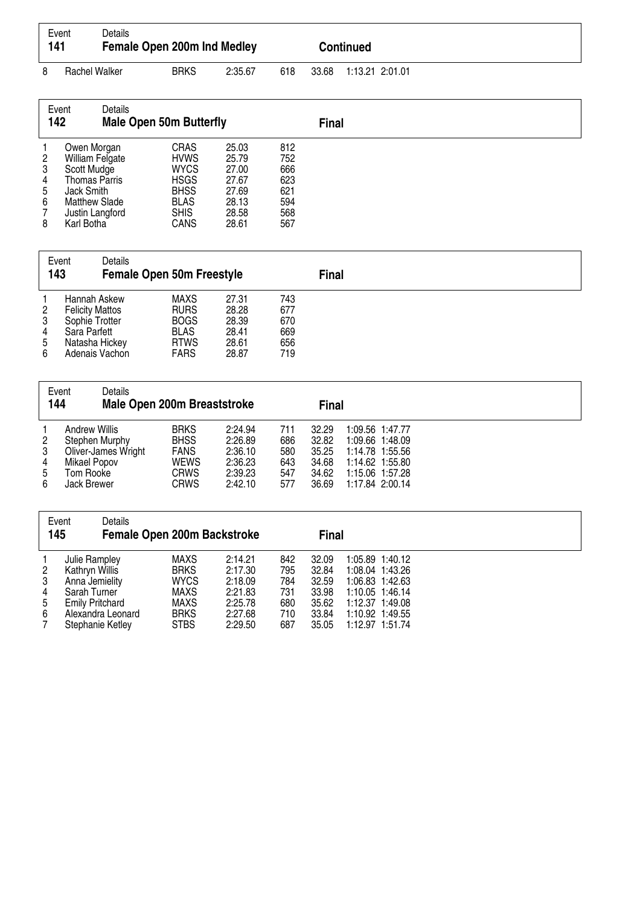| 141 | Event<br>Details | <b>Female Open 200m Ind Medley</b> |         |     |       | <b>Continued</b> |  |
|-----|------------------|------------------------------------|---------|-----|-------|------------------|--|
| 8   | Rachel Walker    | <b>BRKS</b>                        | 2:35.67 | 618 | 33.68 | 1:13.21 2:01.01  |  |

| Event<br>142                            | Details                                                                                                                               | <b>Male Open 50m Butterfly</b>                                                                                |                                                                      |                                                      | <b>Final</b> |  |
|-----------------------------------------|---------------------------------------------------------------------------------------------------------------------------------------|---------------------------------------------------------------------------------------------------------------|----------------------------------------------------------------------|------------------------------------------------------|--------------|--|
| $\overline{2}$<br>3<br>4<br>5<br>6<br>8 | Owen Morgan<br>William Felgate<br>Scott Mudge<br>Thomas Parris<br>Jack Smith<br><b>Matthew Slade</b><br>Justin Langford<br>Karl Botha | <b>CRAS</b><br><b>HVWS</b><br><b>WYCS</b><br><b>HSGS</b><br><b>BHSS</b><br><b>BLAS</b><br><b>SHIS</b><br>CANS | 25.03<br>25.79<br>27.00<br>27.67<br>27.69<br>28.13<br>28.58<br>28.61 | 812<br>752<br>666<br>623<br>621<br>594<br>568<br>567 |              |  |

| Event<br>143                       | Details                                                                                                      | <b>Female Open 50m Freestyle</b>                                                       |                                                    |                                        | <b>Final</b> |  |
|------------------------------------|--------------------------------------------------------------------------------------------------------------|----------------------------------------------------------------------------------------|----------------------------------------------------|----------------------------------------|--------------|--|
| $\overline{2}$<br>3<br>4<br>5<br>6 | Hannah Askew<br><b>Felicity Mattos</b><br>Sophie Trotter<br>Sara Parfett<br>Natasha Hickey<br>Adenais Vachon | <b>MAXS</b><br><b>RURS</b><br><b>BOGS</b><br><b>BLAS</b><br><b>RTWS</b><br><b>FARS</b> | 27.31<br>28.28<br>28.39<br>28.41<br>28.61<br>28.87 | 743<br>677<br>670<br>669<br>656<br>719 |              |  |

| Event<br>144                                                                    | Details<br>Male Open 200m Breaststroke |                                                                                        |                                                                |                                        | <b>Final</b>                                       |                                                                                                                |  |
|---------------------------------------------------------------------------------|----------------------------------------|----------------------------------------------------------------------------------------|----------------------------------------------------------------|----------------------------------------|----------------------------------------------------|----------------------------------------------------------------------------------------------------------------|--|
| <b>Andrew Willis</b><br>3<br>Mikael Popov<br>Tom Rooke<br>5<br>Jack Brewer<br>6 | Stephen Murphy<br>Oliver-James Wright  | <b>BRKS</b><br><b>BHSS</b><br><b>FANS</b><br><b>WEWS</b><br><b>CRWS</b><br><b>CRWS</b> | 2:24.94<br>2:26.89<br>2:36.10<br>2:36.23<br>2:39.23<br>2:42.10 | 711<br>686<br>580<br>643<br>547<br>577 | 32.29<br>32.82<br>35.25<br>34.68<br>34.62<br>36.69 | 1:09.56 1:47.77<br>1:09.66 1:48.09<br>1:14.78 1:55.56<br>1:14.62 1:55.80<br>1:15.06 1:57.28<br>1:17.84 2:00.14 |  |

| Event<br>145                                                                                                 | Details                                                         | <b>Female Open 200m Backstroke</b>                                                                    |                                                                           |                                               | <b>Final</b>                                                |                                                                                                                |                 |  |
|--------------------------------------------------------------------------------------------------------------|-----------------------------------------------------------------|-------------------------------------------------------------------------------------------------------|---------------------------------------------------------------------------|-----------------------------------------------|-------------------------------------------------------------|----------------------------------------------------------------------------------------------------------------|-----------------|--|
| Julie Rampley<br>$\overline{2}$<br>Kathryn Willis<br>3<br>Anna Jemielity<br>Sarah Turner<br>4<br>5<br>6<br>7 | <b>Emily Pritchard</b><br>Alexandra Leonard<br>Stephanie Ketley | <b>MAXS</b><br><b>BRKS</b><br><b>WYCS</b><br><b>MAXS</b><br><b>MAXS</b><br><b>BRKS</b><br><b>STBS</b> | 2:14.21<br>2:17.30<br>2:18.09<br>2:21.83<br>2:25.78<br>2:27.68<br>2:29.50 | 842<br>795<br>784<br>731<br>680<br>710<br>687 | 32.09<br>32.84<br>32.59<br>33.98<br>35.62<br>33.84<br>35.05 | 1:08.04 1:43.26<br>1:06.83 1:42.63<br>1:10.05 1:46.14<br>1:12.37 1:49.08<br>1:10.92 1:49.55<br>1:12.97 1:51.74 | 1:05.89 1:40.12 |  |

 $\overline{\phantom{0}}$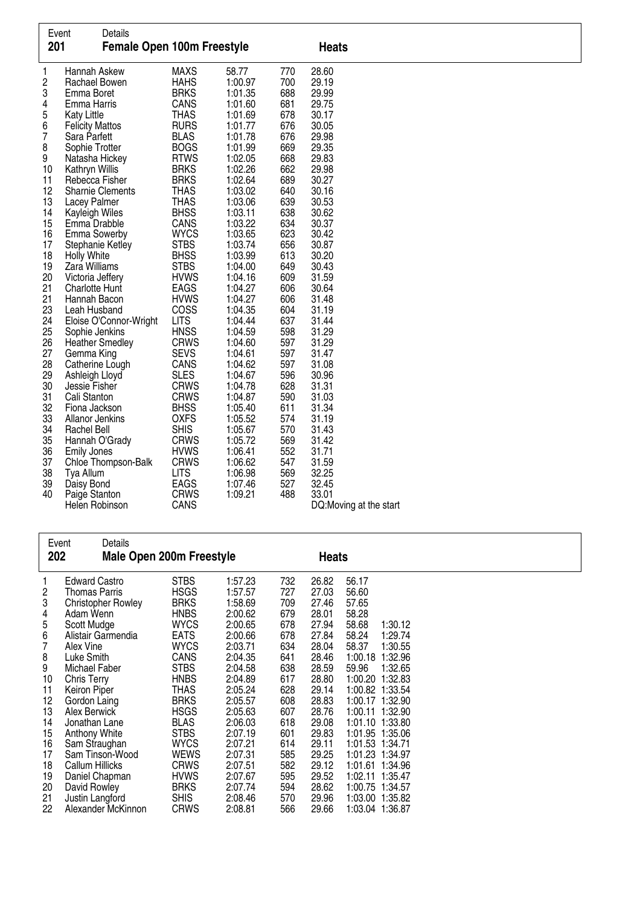| 201                                                                                                                                                                                                                                 | Event                                                                                                                                                                                                                                                                                                                                                                                                                                                                                                                                                                                                                                                                                             | Details<br><b>Female Open 100m Freestyle</b>                             |                                                                                                                                                                                                                                                                                                                                                                                                                                                                                                                                                                                   |                                                                                                                                                                                                                                                                                                                                                                                                                                                    |                                                                                                                                                                                                                                                                                      | <b>Heats</b>                                                                                                                                                                                                                                                                                                                                                         |
|-------------------------------------------------------------------------------------------------------------------------------------------------------------------------------------------------------------------------------------|---------------------------------------------------------------------------------------------------------------------------------------------------------------------------------------------------------------------------------------------------------------------------------------------------------------------------------------------------------------------------------------------------------------------------------------------------------------------------------------------------------------------------------------------------------------------------------------------------------------------------------------------------------------------------------------------------|--------------------------------------------------------------------------|-----------------------------------------------------------------------------------------------------------------------------------------------------------------------------------------------------------------------------------------------------------------------------------------------------------------------------------------------------------------------------------------------------------------------------------------------------------------------------------------------------------------------------------------------------------------------------------|----------------------------------------------------------------------------------------------------------------------------------------------------------------------------------------------------------------------------------------------------------------------------------------------------------------------------------------------------------------------------------------------------------------------------------------------------|--------------------------------------------------------------------------------------------------------------------------------------------------------------------------------------------------------------------------------------------------------------------------------------|----------------------------------------------------------------------------------------------------------------------------------------------------------------------------------------------------------------------------------------------------------------------------------------------------------------------------------------------------------------------|
| 1<br>2<br>3<br>4<br>5<br>6<br>7<br>8<br>9<br>10<br>11<br>12<br>13<br>14<br>15<br>16<br>17<br>18<br>19<br>20<br>21<br>21<br>23<br>24<br>25<br>26<br>27<br>28<br>29<br>30<br>31<br>32<br>33<br>34<br>35<br>36<br>37<br>38<br>39<br>40 | Hannah Askew<br>Rachael Bowen<br>Emma Boret<br>Emma Harris<br><b>Katy Little</b><br><b>Felicity Mattos</b><br>Sara Parfett<br>Sophie Trotter<br>Natasha Hickey<br>Kathryn Willis<br>Rebecca Fisher<br>Lacey Palmer<br><b>Kayleigh Wiles</b><br>Emma Drabble<br><b>Emma Sowerby</b><br>Stephanie Ketley<br><b>Holly White</b><br>Zara Williams<br>Victoria Jeffery<br><b>Charlotte Hunt</b><br>Hannah Bacon<br>Leah Husband<br>Sophie Jenkins<br><b>Heather Smedley</b><br>Gemma King<br>Catherine Lough<br>Ashleigh Lloyd<br>Jessie Fisher<br>Cali Stanton<br>Fiona Jackson<br>Allanor Jenkins<br>Rachel Bell<br>Hannah O'Grady<br><b>Emily Jones</b><br>Tya Allum<br>Daisy Bond<br>Paige Stanton | <b>Sharnie Clements</b><br>Eloise O'Connor-Wright<br>Chloe Thompson-Balk | <b>MAXS</b><br><b>HAHS</b><br><b>BRKS</b><br>CANS<br><b>THAS</b><br><b>RURS</b><br><b>BLAS</b><br><b>BOGS</b><br><b>RTWS</b><br><b>BRKS</b><br><b>BRKS</b><br><b>THAS</b><br><b>THAS</b><br><b>BHSS</b><br>CANS<br><b>WYCS</b><br><b>STBS</b><br><b>BHSS</b><br><b>STBS</b><br><b>HVWS</b><br>EAGS<br><b>HVWS</b><br>COSS<br><b>LITS</b><br><b>HNSS</b><br><b>CRWS</b><br><b>SEVS</b><br>CANS<br><b>SLES</b><br><b>CRWS</b><br><b>CRWS</b><br><b>BHSS</b><br><b>OXFS</b><br><b>SHIS</b><br><b>CRWS</b><br><b>HVWS</b><br><b>CRWS</b><br><b>LITS</b><br><b>EAGS</b><br><b>CRWS</b> | 58.77<br>1:00.97<br>1:01.35<br>1:01.60<br>1:01.69<br>1:01.77<br>1:01.78<br>1:01.99<br>1:02.05<br>1:02.26<br>1:02.64<br>1:03.02<br>1:03.06<br>1:03.11<br>1:03.22<br>1:03.65<br>1:03.74<br>1:03.99<br>1:04.00<br>1:04.16<br>1:04.27<br>1:04.27<br>1:04.35<br>1:04.44<br>1:04.59<br>1:04.60<br>1:04.61<br>1:04.62<br>1:04.67<br>1:04.78<br>1:04.87<br>1:05.40<br>1:05.52<br>1:05.67<br>1:05.72<br>1:06.41<br>1:06.62<br>1:06.98<br>1:07.46<br>1:09.21 | 770<br>700<br>688<br>681<br>678<br>676<br>676<br>669<br>668<br>662<br>689<br>640<br>639<br>638<br>634<br>623<br>656<br>613<br>649<br>609<br>606<br>606<br>604<br>637<br>598<br>597<br>597<br>597<br>596<br>628<br>590<br>611<br>574<br>570<br>569<br>552<br>547<br>569<br>527<br>488 | 28.60<br>29.19<br>29.99<br>29.75<br>30.17<br>30.05<br>29.98<br>29.35<br>29.83<br>29.98<br>30.27<br>30.16<br>30.53<br>30.62<br>30.37<br>30.42<br>30.87<br>30.20<br>30.43<br>31.59<br>30.64<br>31.48<br>31.19<br>31.44<br>31.29<br>31.29<br>31.47<br>31.08<br>30.96<br>31.31<br>31.03<br>31.34<br>31.19<br>31.43<br>31.42<br>31.71<br>31.59<br>32.25<br>32.45<br>33.01 |
|                                                                                                                                                                                                                                     | Helen Robinson                                                                                                                                                                                                                                                                                                                                                                                                                                                                                                                                                                                                                                                                                    |                                                                          | CANS                                                                                                                                                                                                                                                                                                                                                                                                                                                                                                                                                                              |                                                                                                                                                                                                                                                                                                                                                                                                                                                    |                                                                                                                                                                                                                                                                                      | DQ:Moving at the start                                                                                                                                                                                                                                                                                                                                               |

| Event<br>202                                                                                                            | Details<br>Male Open 200m Freestyle                                                                                                                                                                                                                                                                                                                                                                 |                                                                                                                                                                                                                                                                                                                   |                                                                                                                                                                                                                                                |                                                                                                                                                        | <b>Heats</b>                                                                                                                                                                                       |                                                                                                                                                                                                                                                                                                                                                                                            |  |
|-------------------------------------------------------------------------------------------------------------------------|-----------------------------------------------------------------------------------------------------------------------------------------------------------------------------------------------------------------------------------------------------------------------------------------------------------------------------------------------------------------------------------------------------|-------------------------------------------------------------------------------------------------------------------------------------------------------------------------------------------------------------------------------------------------------------------------------------------------------------------|------------------------------------------------------------------------------------------------------------------------------------------------------------------------------------------------------------------------------------------------|--------------------------------------------------------------------------------------------------------------------------------------------------------|----------------------------------------------------------------------------------------------------------------------------------------------------------------------------------------------------|--------------------------------------------------------------------------------------------------------------------------------------------------------------------------------------------------------------------------------------------------------------------------------------------------------------------------------------------------------------------------------------------|--|
| 1<br>2<br>3<br>4<br>5<br>6<br>7<br>8<br>9<br>10<br>11<br>12<br>13<br>14<br>15<br>16<br>17<br>18<br>19<br>20<br>21<br>22 | <b>Edward Castro</b><br>Thomas Parris<br><b>Christopher Rowley</b><br>Adam Wenn<br>Scott Mudge<br>Alistair Garmendia<br>Alex Vine<br>Luke Smith<br>Michael Faber<br>Chris Terry<br>Keiron Piper<br>Gordon Laing<br>Alex Berwick<br>Jonathan Lane<br>Anthony White<br>Sam Straughan<br>Sam Tinson-Wood<br>Callum Hillicks<br>Daniel Chapman<br>David Rowley<br>Justin Langford<br>Alexander McKinnon | <b>STBS</b><br><b>HSGS</b><br><b>BRKS</b><br><b>HNBS</b><br><b>WYCS</b><br><b>EATS</b><br><b>WYCS</b><br>CANS<br><b>STBS</b><br><b>HNBS</b><br>THAS<br><b>BRKS</b><br><b>HSGS</b><br><b>BLAS</b><br><b>STBS</b><br><b>WYCS</b><br>WEWS<br><b>CRWS</b><br><b>HVWS</b><br><b>BRKS</b><br><b>SHIS</b><br><b>CRWS</b> | 1:57.23<br>1:57.57<br>1:58.69<br>2:00.62<br>2:00.65<br>2:00.66<br>2:03.71<br>2:04.35<br>2:04.58<br>2:04.89<br>2:05.24<br>2:05.57<br>2:05.63<br>2:06.03<br>2:07.19<br>2:07.21<br>2:07.31<br>2:07.51<br>2:07.67<br>2:07.74<br>2:08.46<br>2:08.81 | 732<br>727<br>709<br>679<br>678<br>678<br>634<br>641<br>638<br>617<br>628<br>608<br>607<br>618<br>601<br>614<br>585<br>582<br>595<br>594<br>570<br>566 | 26.82<br>27.03<br>27.46<br>28.01<br>27.94<br>27.84<br>28.04<br>28.46<br>28.59<br>28.80<br>29.14<br>28.83<br>28.76<br>29.08<br>29.83<br>29.11<br>29.25<br>29.12<br>29.52<br>28.62<br>29.96<br>29.66 | 56.17<br>56.60<br>57.65<br>58.28<br>58.68<br>1:30.12<br>58.24<br>1:29.74<br>58.37<br>1:30.55<br>1:00.18 1:32.96<br>59.96<br>1:32.65<br>1:00.20 1:32.83<br>1:00.82 1:33.54<br>1:00.17 1:32.90<br>1:00.11 1:32.90<br>1:01.10 1:33.80<br>1:01.95 1:35.06<br>1:01.53 1:34.71<br>1:01.23 1:34.97<br>1:01.61 1:34.96<br>1:02.11 1:35.47<br>1:00.75 1:34.57<br>1:03.00 1:35.82<br>1:03.04 1:36.87 |  |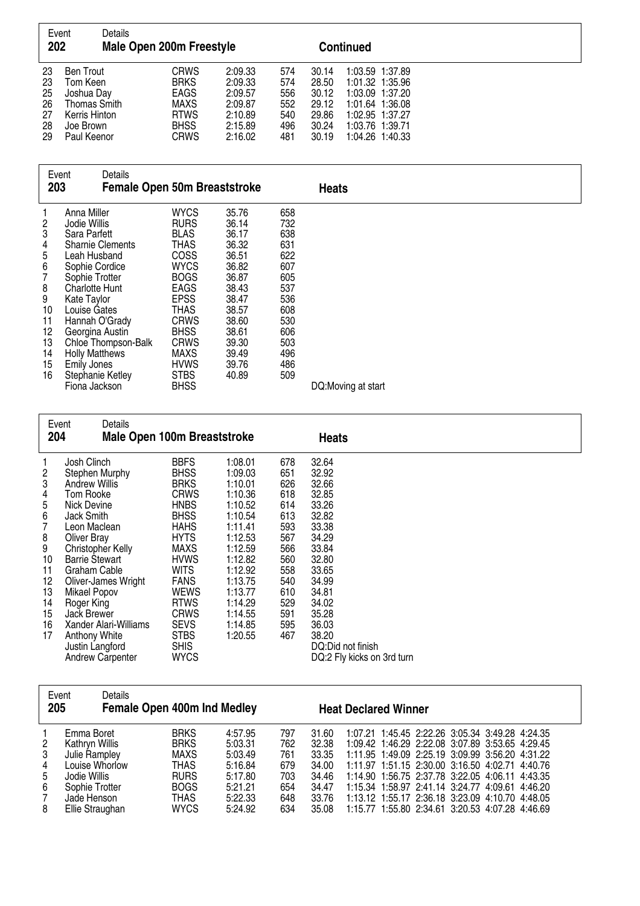| Event<br>202                      | Details                                                                                  | Male Open 200m Freestyle                                                 |                                                                |                                        |                                                    | <b>Continued</b> |                                                                                             |
|-----------------------------------|------------------------------------------------------------------------------------------|--------------------------------------------------------------------------|----------------------------------------------------------------|----------------------------------------|----------------------------------------------------|------------------|---------------------------------------------------------------------------------------------|
| 23<br>23<br>-25<br>26<br>27<br>28 | <b>Ben Trout</b><br>Tom Keen<br>Joshua Day<br>Thomas Smith<br>Kerris Hinton<br>Joe Brown | CRWS<br><b>BRKS</b><br><b>EAGS</b><br>MAXS<br><b>RTWS</b><br><b>BHSS</b> | 2:09.33<br>2:09.33<br>2:09.57<br>2:09.87<br>2:10.89<br>2:15.89 | 574<br>574<br>556<br>552<br>540<br>496 | 30.14<br>28.50<br>30.12<br>29.12<br>29.86<br>30.24 | 1:03.76 1:39.71  | 1:03.59 1:37.89<br>1:01.32 1:35.96<br>1:03.09 1:37.20<br>1:01.64 1:36.08<br>1:02.95 1:37.27 |
| 29                                | Paul Keenor                                                                              | CRWS                                                                     | 2:16.02                                                        | 481                                    | 30.19                                              |                  | 1:04.26 1:40.33                                                                             |

| 203 | Event<br>Details<br><b>Female Open 50m Breaststroke</b> |             |       |     | <b>Heats</b>       |  |
|-----|---------------------------------------------------------|-------------|-------|-----|--------------------|--|
|     | Anna Miller                                             | <b>WYCS</b> | 35.76 | 658 |                    |  |
| 2   | Jodie Willis                                            | <b>RURS</b> | 36.14 | 732 |                    |  |
| 3   | Sara Parfett                                            | <b>BLAS</b> | 36.17 | 638 |                    |  |
| 4   | <b>Sharnie Clements</b>                                 | THAS        | 36.32 | 631 |                    |  |
| 5   | Leah Husband                                            | <b>COSS</b> | 36.51 | 622 |                    |  |
| 6   | Sophie Cordice                                          | <b>WYCS</b> | 36.82 | 607 |                    |  |
|     | Sophie Trotter                                          | <b>BOGS</b> | 36.87 | 605 |                    |  |
| 8   | <b>Charlotte Hunt</b>                                   | <b>EAGS</b> | 38.43 | 537 |                    |  |
| 9   | Kate Taylor                                             | <b>EPSS</b> | 38.47 | 536 |                    |  |
| 10  | Louise Gates                                            | THAS        | 38.57 | 608 |                    |  |
| 11  | Hannah O'Grady                                          | <b>CRWS</b> | 38.60 | 530 |                    |  |
| 12  | Georgina Austin                                         | <b>BHSS</b> | 38.61 | 606 |                    |  |
| 13  | Chloe Thompson-Balk                                     | <b>CRWS</b> | 39.30 | 503 |                    |  |
| 14  | <b>Holly Matthews</b>                                   | <b>MAXS</b> | 39.49 | 496 |                    |  |
| 15  | <b>Emily Jones</b>                                      | <b>HVWS</b> | 39.76 | 486 |                    |  |
| 16  | Stephanie Ketley                                        | <b>STBS</b> | 40.89 | 509 |                    |  |
|     | Fiona Jackson                                           | <b>BHSS</b> |       |     | DQ:Moving at start |  |

| Details                                                                                                                                                                                                                                                                            |                                                                                                                                                                                                                                |                                                                                                                                                                              |                                                                                                              |                                                                                                                                              |                                                  |
|------------------------------------------------------------------------------------------------------------------------------------------------------------------------------------------------------------------------------------------------------------------------------------|--------------------------------------------------------------------------------------------------------------------------------------------------------------------------------------------------------------------------------|------------------------------------------------------------------------------------------------------------------------------------------------------------------------------|--------------------------------------------------------------------------------------------------------------|----------------------------------------------------------------------------------------------------------------------------------------------|--------------------------------------------------|
|                                                                                                                                                                                                                                                                                    |                                                                                                                                                                                                                                |                                                                                                                                                                              |                                                                                                              | <b>Heats</b>                                                                                                                                 |                                                  |
| Josh Clinch<br>Stephen Murphy<br>Andrew Willis<br>Tom Rooke<br>Nick Devine<br>Jack Smith<br>Leon Maclean<br>Oliver Bray<br>Christopher Kelly<br><b>Barrie Stewart</b><br>Graham Cable<br>Oliver-James Wright<br>Mikael Popov<br>Roger King<br>Jack Brewer<br>Xander Alari-Williams | <b>BBFS</b><br><b>BHSS</b><br><b>BRKS</b><br><b>CRWS</b><br><b>HNBS</b><br><b>BHSS</b><br><b>HAHS</b><br><b>HYTS</b><br>MAXS<br><b>HVWS</b><br><b>WITS</b><br><b>FANS</b><br>WEWS<br><b>RTWS</b><br><b>CRWS</b><br><b>SEVS</b> | 1:08.01<br>1:09.03<br>1:10.01<br>1:10.36<br>1:10.52<br>1:10.54<br>1:11.41<br>1:12.53<br>1:12.59<br>1:12.82<br>1:12.92<br>1:13.75<br>1:13.77<br>1:14.29<br>1:14.55<br>1:14.85 | 678<br>651<br>626<br>618<br>614<br>613<br>593<br>567<br>566<br>560<br>558<br>540<br>610<br>529<br>591<br>595 | 32.64<br>32.92<br>32.66<br>32.85<br>33.26<br>32.82<br>33.38<br>34.29<br>33.84<br>32.80<br>33.65<br>34.99<br>34.81<br>34.02<br>35.28<br>36.03 |                                                  |
| <b>Anthony White</b>                                                                                                                                                                                                                                                               | <b>STBS</b>                                                                                                                                                                                                                    | 1:20.55                                                                                                                                                                      | 467                                                                                                          | 38.20                                                                                                                                        |                                                  |
|                                                                                                                                                                                                                                                                                    |                                                                                                                                                                                                                                |                                                                                                                                                                              |                                                                                                              |                                                                                                                                              |                                                  |
|                                                                                                                                                                                                                                                                                    | Event<br>204<br>Justin Langford<br><b>Andrew Carpenter</b>                                                                                                                                                                     | <b>SHIS</b><br><b>WYCS</b>                                                                                                                                                   | <b>Male Open 100m Breaststroke</b>                                                                           |                                                                                                                                              | DQ: Did not finish<br>DQ:2 Fly kicks on 3rd turn |

| 205            | Event           | Details<br>Female Open 400m Ind Medley |             |         |     |       | <b>Heat Declared Winner</b>                     |  |  |  |
|----------------|-----------------|----------------------------------------|-------------|---------|-----|-------|-------------------------------------------------|--|--|--|
|                | Emma Boret      |                                        | <b>BRKS</b> | 4.57.95 | 797 | 31.60 | 1:07.21 1:45.45 2:22.26 3:05.34 3:49.28 4:24.35 |  |  |  |
| $\overline{2}$ | Kathryn Willis  |                                        | <b>BRKS</b> | 5:03.31 | 762 | 32.38 | 1:09.42 1:46.29 2:22.08 3:07.89 3:53.65 4:29.45 |  |  |  |
| 3              | Julie Rampley   |                                        | MAXS        | 5:03.49 | 761 | 33.35 | 1:11.95 1:49.09 2:25.19 3:09.99 3:56.20 4:31.22 |  |  |  |
| 4              | Louise Whorlow  |                                        | THAS        | 5:16.84 | 679 | 34.00 | 1:11.97 1:51.15 2:30.00 3:16.50 4:02.71 4:40.76 |  |  |  |
| 5              | Jodie Willis    |                                        | <b>RURS</b> | 5:17.80 | 703 | 34.46 | 1:14.90 1:56.75 2:37.78 3:22.05 4:06.11 4:43.35 |  |  |  |
| 6              | Sophie Trotter  |                                        | <b>BOGS</b> | 5:21.21 | 654 | 34.47 | 1:15.34 1:58.97 2:41.14 3:24.77 4:09.61 4:46.20 |  |  |  |
|                | Jade Henson     |                                        | THAS        | 5:22.33 | 648 | 33.76 | 1:13:12 1:55:17 2:36:18 3:23:09 4:10:70 4:48:05 |  |  |  |
| 8              | Ellie Straughan |                                        | <b>WYCS</b> | 5:24.92 | 634 | 35.08 | 1:15.77 1:55.80 2:34.61 3:20.53 4:07.28 4:46.69 |  |  |  |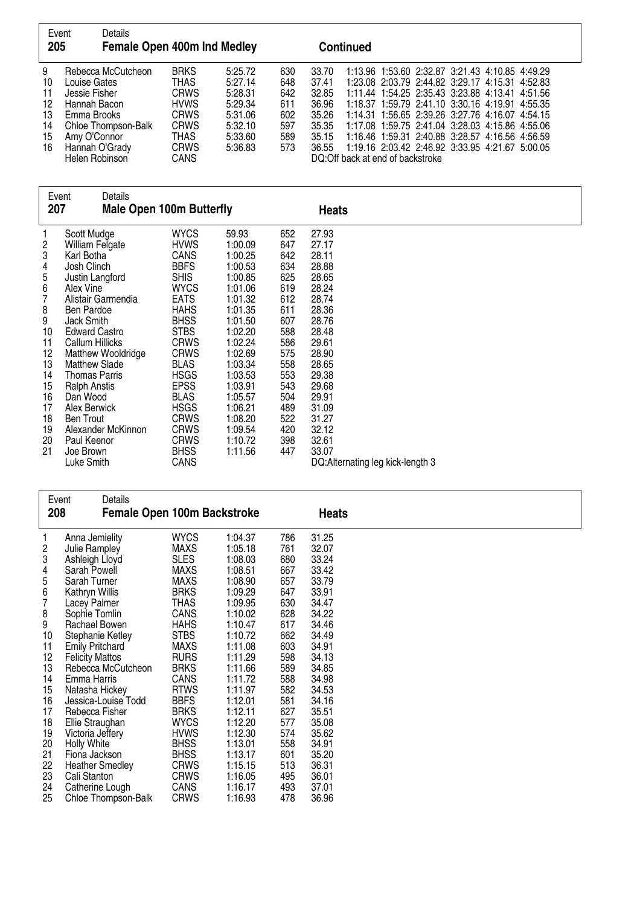| Event<br>205                                                                                                                                | Details<br><b>Female Open 400m Ind Medley</b>                                                                                                                                                                                                                                                                                                                                                                       |                                                                                                                                                                                                                                                                                                                          |                                                                                                                                                                                                                                   |                                                                                                                                                 |                                                                                                                                                                                           | <b>Continued</b>                                                                                                                                                                                                                                                                                                                                                                                                                                         |
|---------------------------------------------------------------------------------------------------------------------------------------------|---------------------------------------------------------------------------------------------------------------------------------------------------------------------------------------------------------------------------------------------------------------------------------------------------------------------------------------------------------------------------------------------------------------------|--------------------------------------------------------------------------------------------------------------------------------------------------------------------------------------------------------------------------------------------------------------------------------------------------------------------------|-----------------------------------------------------------------------------------------------------------------------------------------------------------------------------------------------------------------------------------|-------------------------------------------------------------------------------------------------------------------------------------------------|-------------------------------------------------------------------------------------------------------------------------------------------------------------------------------------------|----------------------------------------------------------------------------------------------------------------------------------------------------------------------------------------------------------------------------------------------------------------------------------------------------------------------------------------------------------------------------------------------------------------------------------------------------------|
| 9<br>10<br>11<br>12<br>13<br>14<br>15<br>16                                                                                                 | Rebecca McCutcheon<br>Louise Gates<br>Jessie Fisher<br>Hannah Bacon<br>Emma Brooks<br>Chloe Thompson-Balk<br>Amy O'Connor<br>Hannah O'Grady<br>Helen Robinson                                                                                                                                                                                                                                                       | <b>BRKS</b><br><b>THAS</b><br><b>CRWS</b><br><b>HVWS</b><br><b>CRWS</b><br><b>CRWS</b><br><b>THAS</b><br><b>CRWS</b><br>CANS                                                                                                                                                                                             | 5:25.72<br>5:27.14<br>5:28.31<br>5:29.34<br>5:31.06<br>5:32.10<br>5:33.60<br>5:36.83                                                                                                                                              | 630<br>648<br>642<br>611<br>602<br>597<br>589<br>573                                                                                            | 33.70<br>37.41<br>32.85<br>36.96<br>35.26<br>35.35<br>35.15<br>36.55                                                                                                                      | 1:13.96 1:53.60 2:32.87 3:21.43 4:10.85 4:49.29<br>1:23.08 2:03.79 2:44.82 3:29.17 4:15.31 4:52.83<br>1:11.44 1:54.25 2:35.43 3:23.88 4:13.41 4:51.56<br>1:18.37 1:59.79 2:41.10 3:30.16 4:19.91 4:55.35<br>1:14.31 1:56.65 2:39.26 3:27.76 4:16.07 4:54.15<br>1:17.08 1:59.75 2:41.04 3:28.03 4:15.86 4:55.06<br>1:16.46 1:59.31 2:40.88 3:28.57 4:16.56 4:56.59<br>1:19.16 2:03.42 2:46.92 3:33.95 4:21.67 5:00.05<br>DQ:Off back at end of backstroke |
| Event<br>207                                                                                                                                | <b>Details</b><br><b>Male Open 100m Butterfly</b>                                                                                                                                                                                                                                                                                                                                                                   |                                                                                                                                                                                                                                                                                                                          |                                                                                                                                                                                                                                   |                                                                                                                                                 | <b>Heats</b>                                                                                                                                                                              |                                                                                                                                                                                                                                                                                                                                                                                                                                                          |
| 1<br>$\overline{c}$<br>3<br>4<br>5<br>6<br>$\overline{7}$<br>8<br>9<br>10<br>11<br>12<br>13<br>14<br>15<br>16<br>17<br>18<br>19<br>20<br>21 | Scott Mudge<br>William Felgate<br>Karl Botha<br>Josh Clinch<br>Justin Langford<br>Alex Vine<br>Alistair Garmendia<br><b>Ben Pardoe</b><br>Jack Smith<br><b>Edward Castro</b><br><b>Callum Hillicks</b><br>Matthew Wooldridge<br><b>Matthew Slade</b><br><b>Thomas Parris</b><br><b>Ralph Anstis</b><br>Dan Wood<br>Alex Berwick<br><b>Ben Trout</b><br>Alexander McKinnon<br>Paul Keenor<br>Joe Brown<br>Luke Smith | <b>WYCS</b><br><b>HVWS</b><br>CANS<br><b>BBFS</b><br><b>SHIS</b><br><b>WYCS</b><br><b>EATS</b><br><b>HAHS</b><br><b>BHSS</b><br><b>STBS</b><br><b>CRWS</b><br><b>CRWS</b><br><b>BLAS</b><br><b>HSGS</b><br><b>EPSS</b><br><b>BLAS</b><br><b>HSGS</b><br><b>CRWS</b><br><b>CRWS</b><br><b>CRWS</b><br><b>BHSS</b><br>CANS | 59.93<br>1:00.09<br>1:00.25<br>1:00.53<br>1:00.85<br>1:01.06<br>1:01.32<br>1:01.35<br>1:01.50<br>1:02.20<br>1:02.24<br>1:02.69<br>1:03.34<br>1:03.53<br>1:03.91<br>1:05.57<br>1:06.21<br>1:08.20<br>1:09.54<br>1:10.72<br>1:11.56 | 652<br>647<br>642<br>634<br>625<br>619<br>612<br>611<br>607<br>588<br>586<br>575<br>558<br>553<br>543<br>504<br>489<br>522<br>420<br>398<br>447 | 27.93<br>27.17<br>28.11<br>28.88<br>28.65<br>28.24<br>28.74<br>28.36<br>28.76<br>28.48<br>29.61<br>28.90<br>28.65<br>29.38<br>29.68<br>29.91<br>31.09<br>31.27<br>32.12<br>32.61<br>33.07 | DQ: Alternating leg kick-length 3                                                                                                                                                                                                                                                                                                                                                                                                                        |

| DQ: Alternating leg kick-length 3 |  |
|-----------------------------------|--|
|-----------------------------------|--|

|     | Details<br>Event            |             |         |     |              |  |
|-----|-----------------------------|-------------|---------|-----|--------------|--|
| 208 | Female Open 100m Backstroke |             |         |     | <b>Heats</b> |  |
|     | Anna Jemielity              | <b>WYCS</b> | 1:04.37 | 786 | 31.25        |  |
| 2   | Julie Rampley               | MAXS        | 1:05.18 | 761 | 32.07        |  |
| 3   | Ashleigh Lloyd              | <b>SLES</b> | 1:08.03 | 680 | 33.24        |  |
| 4   | Sarah Powell                | <b>MAXS</b> | 1:08.51 | 667 | 33.42        |  |
| 5   | Sarah Turner                | <b>MAXS</b> | 1:08.90 | 657 | 33.79        |  |
| 6   | Kathryn Willis              | <b>BRKS</b> | 1:09.29 | 647 | 33.91        |  |
| 7   | Lacey Palmer                | THAS        | 1:09.95 | 630 | 34.47        |  |
| 8   | Sophie Tomlin               | CANS        | 1:10.02 | 628 | 34.22        |  |
| 9   | Rachael Bowen               | <b>HAHS</b> | 1:10.47 | 617 | 34.46        |  |
| 10  | Stephanie Ketley            | <b>STBS</b> | 1:10.72 | 662 | 34.49        |  |
| 11  | <b>Emily Pritchard</b>      | <b>MAXS</b> | 1:11.08 | 603 | 34.91        |  |
| 12  | <b>Felicity Mattos</b>      | <b>RURS</b> | 1:11.29 | 598 | 34.13        |  |
| 13  | Rebecca McCutcheon          | <b>BRKS</b> | 1:11.66 | 589 | 34.85        |  |
| 14  | Emma Harris                 | CANS        | 1:11.72 | 588 | 34.98        |  |
| 15  | Natasha Hickey              | <b>RTWS</b> | 1:11.97 | 582 | 34.53        |  |
| 16  | Jessica-Louise Todd         | <b>BBFS</b> | 1:12.01 | 581 | 34.16        |  |
| 17  | Rebecca Fisher              | <b>BRKS</b> | 1:12.11 | 627 | 35.51        |  |
| 18  | Ellie Straughan             | <b>WYCS</b> | 1:12.20 | 577 | 35.08        |  |
| 19  | Victoria Jeffery            | <b>HVWS</b> | 1:12.30 | 574 | 35.62        |  |
| 20  | Holly White                 | <b>BHSS</b> | 1:13.01 | 558 | 34.91        |  |
| 21  | Fiona Jackson               | <b>BHSS</b> | 1:13.17 | 601 | 35.20        |  |
| 22  | <b>Heather Smedley</b>      | <b>CRWS</b> | 1:15.15 | 513 | 36.31        |  |
| 23  | Cali Stanton                | <b>CRWS</b> | 1:16.05 | 495 | 36.01        |  |
| 24  | Catherine Lough             | CANS        | 1:16.17 | 493 | 37.01        |  |
| 25  | Chloe Thompson-Balk         | <b>CRWS</b> | 1:16.93 | 478 | 36.96        |  |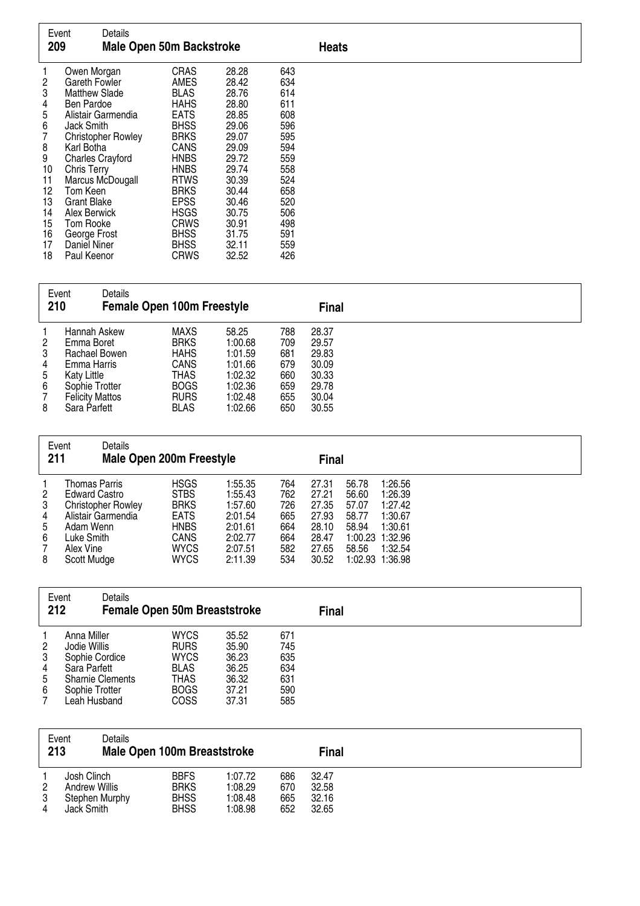| Event<br>209                                                                                                 |                                                                                                                                                                                                                                                                                                                                             | Details<br><b>Male Open 50m Backstroke</b>          |                                                                                                                                                                                                                                                       |                                                                                                                                                                |                                                                                                                            | <b>Heats</b>                                                         |
|--------------------------------------------------------------------------------------------------------------|---------------------------------------------------------------------------------------------------------------------------------------------------------------------------------------------------------------------------------------------------------------------------------------------------------------------------------------------|-----------------------------------------------------|-------------------------------------------------------------------------------------------------------------------------------------------------------------------------------------------------------------------------------------------------------|----------------------------------------------------------------------------------------------------------------------------------------------------------------|----------------------------------------------------------------------------------------------------------------------------|----------------------------------------------------------------------|
| 1<br>2<br>3<br>4<br>5<br>6<br>$\overline{7}$<br>8<br>9<br>10<br>11<br>12<br>13<br>14<br>15<br>16<br>17<br>18 | Owen Morgan<br><b>Gareth Fowler</b><br><b>Matthew Slade</b><br>Ben Pardoe<br>Alistair Garmendia<br>Jack Smith<br><b>Christopher Rowley</b><br>Karl Botha<br><b>Charles Crayford</b><br><b>Chris Terry</b><br>Marcus McDougall<br>Tom Keen<br><b>Grant Blake</b><br>Alex Berwick<br>Tom Rooke<br>George Frost<br>Daniel Niner<br>Paul Keenor |                                                     | CRAS<br>AMES<br><b>BLAS</b><br><b>HAHS</b><br><b>EATS</b><br><b>BHSS</b><br><b>BRKS</b><br>CANS<br><b>HNBS</b><br><b>HNBS</b><br><b>RTWS</b><br><b>BRKS</b><br><b>EPSS</b><br><b>HSGS</b><br><b>CRWS</b><br><b>BHSS</b><br><b>BHSS</b><br><b>CRWS</b> | 28.28<br>28.42<br>28.76<br>28.80<br>28.85<br>29.06<br>29.07<br>29.09<br>29.72<br>29.74<br>30.39<br>30.44<br>30.46<br>30.75<br>30.91<br>31.75<br>32.11<br>32.52 | 643<br>634<br>614<br>611<br>608<br>596<br>595<br>594<br>559<br>558<br>524<br>658<br>520<br>506<br>498<br>591<br>559<br>426 |                                                                      |
| Event<br>210                                                                                                 |                                                                                                                                                                                                                                                                                                                                             | <b>Details</b><br><b>Female Open 100m Freestyle</b> |                                                                                                                                                                                                                                                       |                                                                                                                                                                |                                                                                                                            | <b>Final</b>                                                         |
| 1<br>$\sqrt{2}$<br>3<br>4<br>5<br>6<br>$\overline{7}$<br>8                                                   | Hannah Askew<br>Emma Boret<br>Rachael Bowen<br>Emma Harris<br><b>Katy Little</b><br>Sophie Trotter<br><b>Felicity Mattos</b><br>Sara Parfett                                                                                                                                                                                                |                                                     | <b>MAXS</b><br><b>BRKS</b><br><b>HAHS</b><br>CANS<br><b>THAS</b><br><b>BOGS</b><br><b>RURS</b><br><b>BLAS</b>                                                                                                                                         | 58.25<br>1:00.68<br>1:01.59<br>1:01.66<br>1:02.32<br>1:02.36<br>1:02.48<br>1:02.66                                                                             | 788<br>709<br>681<br>679<br>660<br>659<br>655<br>650                                                                       | 28.37<br>29.57<br>29.83<br>30.09<br>30.33<br>29.78<br>30.04<br>30.55 |
| Event<br>211                                                                                                 |                                                                                                                                                                                                                                                                                                                                             | <b>Details</b><br><b>Male Open 200m Freestyle</b>   |                                                                                                                                                                                                                                                       |                                                                                                                                                                |                                                                                                                            | <b>Final</b>                                                         |

|   | .<br><b>MAIG OPGH EUGHI LIGGUYIG</b> |             |         | і піаі |       |       |                 |  |
|---|--------------------------------------|-------------|---------|--------|-------|-------|-----------------|--|
|   | Thomas Parris                        | HSGS        | 1:55.35 | 764    | 27.31 | 56.78 | 1:26.56         |  |
|   | Edward Castro                        | <b>STBS</b> | 1.55.43 | 762    | 27.21 | 56.60 | 1:26.39         |  |
| 3 | <b>Christopher Rowley</b>            | <b>BRKS</b> | 1:57.60 | 726    | 27.35 | 57.07 | 1:27.42         |  |
|   | Alistair Garmendia                   | EATS        | 2:01.54 | 665    | 27.93 | 58.77 | 1:30.67         |  |
| 5 | Adam Wenn                            | HNBS.       | 2:01.61 | 664    | 28.10 | 58.94 | 1:30.61         |  |
| 6 | Luke Smith                           | CANS        | 2:02.77 | 664    | 28.47 |       | 1:00.23 1:32.96 |  |
|   | Alex Vine                            | <b>WYCS</b> | 2:07.51 | 582    | 27.65 | 58.56 | 1:32.54         |  |
| 8 | Scott Mudge                          | WYCS        | 2:11.39 | 534    | 30.52 |       | 1:02.93 1:36.98 |  |

 $\blacksquare$ 

| Event<br>212                       | Details<br><b>Female Open 50m Breaststroke</b>                                                                             |                                                                                                |                                                             |                                               | <b>Final</b> |
|------------------------------------|----------------------------------------------------------------------------------------------------------------------------|------------------------------------------------------------------------------------------------|-------------------------------------------------------------|-----------------------------------------------|--------------|
| $\overline{2}$<br>3<br>4<br>5<br>6 | Anna Miller<br>Jodie Willis<br>Sophie Cordice<br>Sara Parfett<br><b>Sharnie Clements</b><br>Sophie Trotter<br>Leah Husband | <b>WYCS</b><br><b>RURS</b><br><b>WYCS</b><br><b>BLAS</b><br>THAS<br><b>BOGS</b><br><b>COSS</b> | 35.52<br>35.90<br>36.23<br>36.25<br>36.32<br>37.21<br>37.31 | 671<br>745<br>635<br>634<br>631<br>590<br>585 |              |

| 213            | Event<br>Details     | Male Open 100m Breaststroke |         |     | <b>Final</b> |
|----------------|----------------------|-----------------------------|---------|-----|--------------|
|                | Josh Clinch          | <b>BBFS</b>                 | 1:07.72 | 686 | 32.47        |
| $\overline{2}$ | <b>Andrew Willis</b> | <b>BRKS</b>                 | 1:08.29 | 670 | 32.58        |
| 3              | Stephen Murphy       | <b>BHSS</b>                 | 1:08.48 | 665 | 32.16        |
| 4              | Jack Smith           | <b>BHSS</b>                 | 1:08.98 | 652 | 32.65        |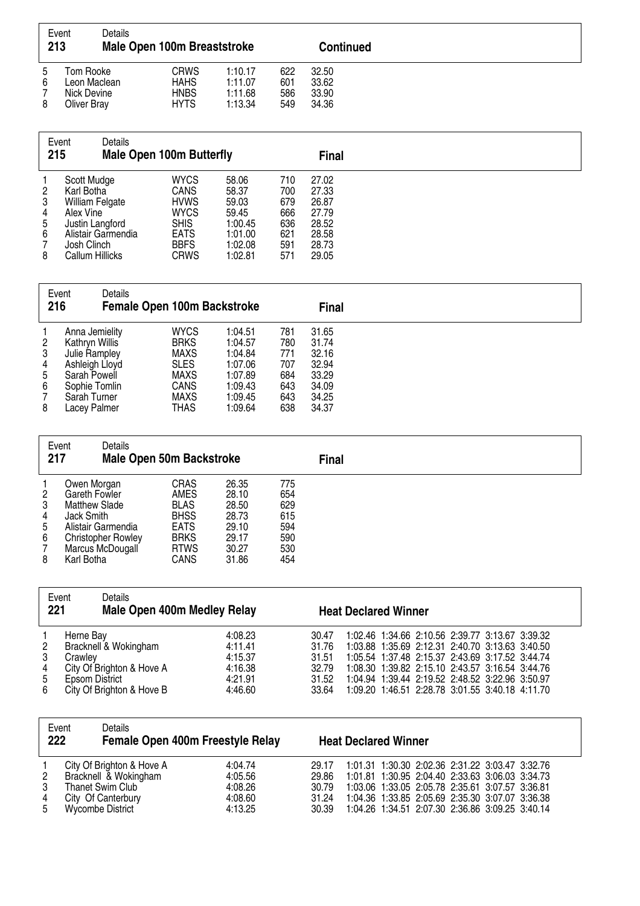| 213         | Event                                                   | Details<br>Male Open 100m Breaststroke |                                     |                                          |                          | <b>Continued</b>                 |  |
|-------------|---------------------------------------------------------|----------------------------------------|-------------------------------------|------------------------------------------|--------------------------|----------------------------------|--|
| 5<br>6<br>8 | Tom Rooke<br>Leon Maclean<br>Nick Devine<br>Oliver Brav |                                        | CRWS<br>HAHS<br>HNBS<br><b>HYTS</b> | 1:10.17<br>1:11.07<br>1:11.68<br>1:13.34 | 622<br>601<br>586<br>549 | 32.50<br>33.62<br>33.90<br>34.36 |  |

| Event<br>215               |                                                                                                                   | Details<br><b>Male Open 100m Butterfly</b> |                                                                                                |                                                                   |                                               | <b>Final</b>                                                |  |
|----------------------------|-------------------------------------------------------------------------------------------------------------------|--------------------------------------------|------------------------------------------------------------------------------------------------|-------------------------------------------------------------------|-----------------------------------------------|-------------------------------------------------------------|--|
| 2<br>3<br>4<br>5<br>6<br>7 | Scott Mudge<br>Karl Botha<br>William Felgate<br>Alex Vine<br>Justin Langford<br>Alistair Garmendia<br>Josh Clinch |                                            | <b>WYCS</b><br>CANS<br><b>HVWS</b><br><b>WYCS</b><br><b>SHIS</b><br><b>EATS</b><br><b>BBFS</b> | 58.06<br>58.37<br>59.03<br>59.45<br>1:00.45<br>1:01.00<br>1:02.08 | 710<br>700<br>679<br>666<br>636<br>621<br>591 | 27.02<br>27.33<br>26.87<br>27.79<br>28.52<br>28.58<br>28.73 |  |
| 8                          | Callum Hillicks                                                                                                   |                                            | <b>CRWS</b>                                                                                    | 1:02.81                                                           | 571                                           | 29.05                                                       |  |

| Event<br>216   |                                  | Details<br><b>Female Open 100m Backstroke</b> |                            |                    |            | <b>Final</b>   |  |
|----------------|----------------------------------|-----------------------------------------------|----------------------------|--------------------|------------|----------------|--|
| $\overline{2}$ | Anna Jemielity<br>Kathryn Willis |                                               | <b>WYCS</b><br><b>BRKS</b> | 1:04.51<br>1:04.57 | 781<br>780 | 31.65<br>31.74 |  |
| 3              | Julie Rampley                    |                                               | MAXS                       | 1:04.84            | 771        | 32.16          |  |
| 4<br>5         | Ashleigh Lloyd<br>Sarah Powell   |                                               | <b>SLES</b><br>MAXS        | 1:07.06<br>1:07.89 | 707<br>684 | 32.94<br>33.29 |  |
| 6<br>7         | Sophie Tomlin<br>Sarah Turner    |                                               | CANS<br>MAXS               | 1:09.43<br>1:09.45 | 643<br>643 | 34.09<br>34.25 |  |
| 8              | Lacey Palmer                     |                                               | THAS                       | 1:09.64            | 638        | 34.37          |  |

| <b>CRAS</b><br>26.35<br>775<br>Owen Morgan                                                                                                                                                                                                                                                                                               | 217                  | Details<br>Event | <b>Male Open 50m Backstroke</b> |       |     | <b>Final</b> |  |
|------------------------------------------------------------------------------------------------------------------------------------------------------------------------------------------------------------------------------------------------------------------------------------------------------------------------------------------|----------------------|------------------|---------------------------------|-------|-----|--------------|--|
| 3<br><b>BLAS</b><br><b>Matthew Slade</b><br>629<br>28.50<br><b>BHSS</b><br>Jack Smith<br>615<br>4<br>28.73<br>5<br><b>EATS</b><br>Alistair Garmendia<br>29.10<br>594<br><b>BRKS</b><br>6<br>590<br>29.17<br><b>Christopher Rowley</b><br>Marcus McDougall<br><b>RTWS</b><br>7<br>530<br>30.27<br>CANS<br>8<br>Karl Botha<br>31.86<br>454 | $\mathbf{2}^{\circ}$ | Gareth Fowler    | AMES                            | 28.10 | 654 |              |  |

| Event<br>221                                             |                                               | Details                                                                         | Male Open 400m Medley Relay                                    |                                                    | <b>Heat Declared Winner</b>                                                                                                                                                                                                                                                                                    |  |  |
|----------------------------------------------------------|-----------------------------------------------|---------------------------------------------------------------------------------|----------------------------------------------------------------|----------------------------------------------------|----------------------------------------------------------------------------------------------------------------------------------------------------------------------------------------------------------------------------------------------------------------------------------------------------------------|--|--|
| $\mathbf{2}$<br>$\mathbf{3}$<br>$\overline{4}$<br>5<br>6 | Herne Bay<br>Crawley<br><b>Epsom District</b> | Bracknell & Wokingham<br>City Of Brighton & Hove A<br>City Of Brighton & Hove B | 4:08.23<br>4:11.41<br>4:15.37<br>4:16.38<br>4:21.91<br>4:46.60 | 30.47<br>31.76<br>31.51<br>32.79<br>31.52<br>33.64 | 1:02.46 1:34.66 2:10.56 2:39.77 3:13.67 3:39.32<br>1:03.88 1:35.69 2:12.31 2:40.70 3:13.63 3:40.50<br>1:05.54 1:37.48 2:15.37 2:43.69 3:17.52 3:44.74<br>1:08.30 1:39.82 2:15.10 2:43.57 3:16.54 3:44.76<br>1:04.94 1:39.44 2:19.52 2:48.52 3:22.96 3:50.97<br>1:09.20 1:46.51 2:28.78 3:01.55 3:40.18 4:11.70 |  |  |

| Event<br>222     | Details                                                                                                                 | Female Open 400m Freestyle Relay                    |                                           | <b>Heat Declared Winner</b>                                                                                                                                                                                                                                 |  |
|------------------|-------------------------------------------------------------------------------------------------------------------------|-----------------------------------------------------|-------------------------------------------|-------------------------------------------------------------------------------------------------------------------------------------------------------------------------------------------------------------------------------------------------------------|--|
| 2<br>3<br>4<br>5 | City Of Brighton & Hove A<br>Bracknell & Wokingham<br>Thanet Swim Club<br>City Of Canterbury<br><b>Wycombe District</b> | 4:04.74<br>4:05.56<br>4:08.26<br>4:08.60<br>4:13.25 | 29.17<br>29.86<br>30.79<br>31.24<br>30.39 | 1:01.31 1:30.30 2:02.36 2:31.22 3:03.47 3:32.76<br>1:01.81 1:30.95 2:04.40 2:33.63 3:06.03 3:34.73<br>1:03.06 1:33.05 2:05.78 2:35.61 3:07.57 3:36.81<br>1:04.36 1:33.85 2:05.69 2:35.30 3:07.07 3:36.38<br>1:04.26 1:34.51 2:07.30 2:36.86 3:09.25 3:40.14 |  |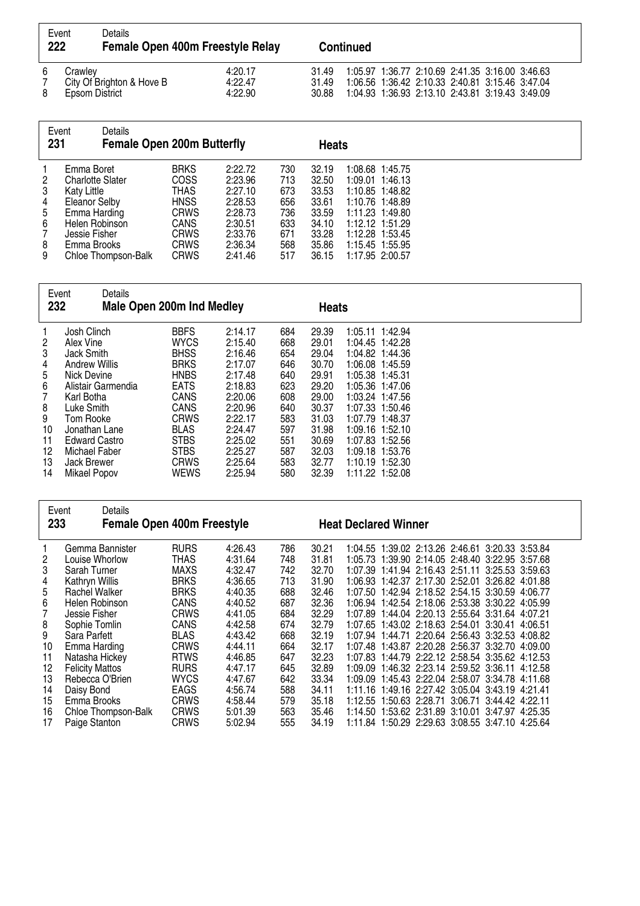| Event<br>222                                                                                           | Details                                                                                                                                                                                                                                                                                     |                                                                                                                                                                                                                                | Female Open 400m Freestyle Relay                                                                                                                                             |                                                                                                              | <b>Continued</b>                                                                                                                             |                                                                                                                                                                                                                                                                        |  |                                                                                                                                                                                                                                                                                                                                                                                                                                                                                                                                                                                                                                                                                                                                                                                                                                              |  |  |
|--------------------------------------------------------------------------------------------------------|---------------------------------------------------------------------------------------------------------------------------------------------------------------------------------------------------------------------------------------------------------------------------------------------|--------------------------------------------------------------------------------------------------------------------------------------------------------------------------------------------------------------------------------|------------------------------------------------------------------------------------------------------------------------------------------------------------------------------|--------------------------------------------------------------------------------------------------------------|----------------------------------------------------------------------------------------------------------------------------------------------|------------------------------------------------------------------------------------------------------------------------------------------------------------------------------------------------------------------------------------------------------------------------|--|----------------------------------------------------------------------------------------------------------------------------------------------------------------------------------------------------------------------------------------------------------------------------------------------------------------------------------------------------------------------------------------------------------------------------------------------------------------------------------------------------------------------------------------------------------------------------------------------------------------------------------------------------------------------------------------------------------------------------------------------------------------------------------------------------------------------------------------------|--|--|
| 6<br>7<br>8                                                                                            | Crawley<br>City Of Brighton & Hove B<br>Epsom District                                                                                                                                                                                                                                      |                                                                                                                                                                                                                                | 4:20.17<br>4:22.47<br>4:22.90                                                                                                                                                |                                                                                                              | 31.49<br>31.49<br>30.88                                                                                                                      |                                                                                                                                                                                                                                                                        |  | 1:05.97 1:36.77 2:10.69 2:41.35 3:16.00 3:46.63<br>1:06.56 1:36.42 2:10.33 2:40.81 3:15.46 3:47.04<br>1:04.93 1:36.93 2:13.10 2:43.81 3:19.43 3:49.09                                                                                                                                                                                                                                                                                                                                                                                                                                                                                                                                                                                                                                                                                        |  |  |
| Event<br>231                                                                                           | Details                                                                                                                                                                                                                                                                                     | <b>Female Open 200m Butterfly</b>                                                                                                                                                                                              |                                                                                                                                                                              |                                                                                                              | <b>Heats</b>                                                                                                                                 |                                                                                                                                                                                                                                                                        |  |                                                                                                                                                                                                                                                                                                                                                                                                                                                                                                                                                                                                                                                                                                                                                                                                                                              |  |  |
| 1<br>2<br>3<br>4<br>5<br>6<br>7<br>8<br>9                                                              | Emma Boret<br><b>Charlotte Slater</b><br><b>Katy Little</b><br><b>Eleanor Selby</b><br>Emma Harding<br>Helen Robinson<br>Jessie Fisher<br>Emma Brooks<br>Chloe Thompson-Balk                                                                                                                | <b>BRKS</b><br>COSS<br><b>THAS</b><br><b>HNSS</b><br><b>CRWS</b><br>CANS<br>CRWS<br><b>CRWS</b><br><b>CRWS</b>                                                                                                                 | 2:22.72<br>2:23.96<br>2:27.10<br>2:28.53<br>2:28.73<br>2:30.51<br>2:33.76<br>2:36.34<br>2:41.46                                                                              | 730<br>713<br>673<br>656<br>736<br>633<br>671<br>568<br>517                                                  | 32.19<br>32.50<br>33.53<br>33.61<br>33.59<br>34.10<br>33.28<br>35.86<br>36.15                                                                | 1:08.68 1:45.75<br>1:09.01 1:46.13<br>1:10.85 1:48.82<br>1:10.76 1:48.89<br>1:11.23 1:49.80<br>1:12.12 1:51.29<br>1:12.28 1:53.45<br>1:15.45 1:55.95<br>1:17.95 2:00.57                                                                                                |  |                                                                                                                                                                                                                                                                                                                                                                                                                                                                                                                                                                                                                                                                                                                                                                                                                                              |  |  |
| Event<br>232                                                                                           | Details                                                                                                                                                                                                                                                                                     | <b>Male Open 200m Ind Medley</b>                                                                                                                                                                                               |                                                                                                                                                                              |                                                                                                              | <b>Heats</b>                                                                                                                                 |                                                                                                                                                                                                                                                                        |  |                                                                                                                                                                                                                                                                                                                                                                                                                                                                                                                                                                                                                                                                                                                                                                                                                                              |  |  |
| 1<br>2<br>3<br>4<br>5<br>$\begin{array}{c} 6 \\ 7 \end{array}$<br>8<br>9<br>10<br>11<br>12<br>13<br>14 | Josh Clinch<br>Alex Vine<br>Jack Smith<br><b>Andrew Willis</b><br>Nick Devine<br>Alistair Garmendia<br>Karl Botha<br>Luke Smith<br>Tom Rooke<br>Jonathan Lane<br><b>Edward Castro</b><br>Michael Faber<br>Jack Brewer<br><b>Mikael Popov</b>                                                | <b>BBFS</b><br><b>WYCS</b><br><b>BHSS</b><br><b>BRKS</b><br><b>HNBS</b><br><b>EATS</b><br>CANS<br>CANS<br><b>CRWS</b><br><b>BLAS</b><br><b>STBS</b><br><b>STBS</b><br><b>CRWS</b><br><b>WEWS</b>                               | 2:14.17<br>2:15.40<br>2:16.46<br>2:17.07<br>2:17.48<br>2:18.83<br>2:20.06<br>2:20.96<br>2:22.17<br>2:24.47<br>2:25.02<br>2:25.27<br>2:25.64<br>2:25.94                       | 684<br>668<br>654<br>646<br>640<br>623<br>608<br>640<br>583<br>597<br>551<br>587<br>583<br>580               | 29.39<br>29.01<br>29.04<br>30.70<br>29.91<br>29.20<br>29.00<br>30.37<br>31.03<br>31.98<br>30.69<br>32.03<br>32.77<br>32.39                   | 1:05.11 1:42.94<br>1:04.45 1:42.28<br>1:04.82 1:44.36<br>1:06.08 1:45.59<br>1:05.38 1:45.31<br>1:05.36 1:47.06<br>1:03.24 1:47.56<br>1:07.33 1:50.46<br>1:07.79 1:48.37<br>1:09.16 1:52.10<br>1:07.83 1:52.56<br>1:09.18 1:53.76<br>1:10.19 1:52.30<br>1:11.22 1:52.08 |  |                                                                                                                                                                                                                                                                                                                                                                                                                                                                                                                                                                                                                                                                                                                                                                                                                                              |  |  |
| Event<br>233                                                                                           | Details                                                                                                                                                                                                                                                                                     | <b>Female Open 400m Freestyle</b>                                                                                                                                                                                              |                                                                                                                                                                              |                                                                                                              |                                                                                                                                              | <b>Heat Declared Winner</b>                                                                                                                                                                                                                                            |  |                                                                                                                                                                                                                                                                                                                                                                                                                                                                                                                                                                                                                                                                                                                                                                                                                                              |  |  |
| 1<br>2<br>3<br>4<br>5<br>6<br>$\overline{7}$<br>8<br>9<br>10<br>11<br>12<br>13<br>14<br>15<br>16       | Gemma Bannister<br>Louise Whorlow<br>Sarah Turner<br>Kathryn Willis<br>Rachel Walker<br>Helen Robinson<br>Jessie Fisher<br>Sophie Tomlin<br>Sara Parfett<br>Emma Harding<br>Natasha Hickey<br><b>Felicity Mattos</b><br>Rebecca O'Brien<br>Daisy Bond<br>Emma Brooks<br>Chloe Thompson-Balk | <b>RURS</b><br><b>THAS</b><br><b>MAXS</b><br><b>BRKS</b><br><b>BRKS</b><br>CANS<br><b>CRWS</b><br>CANS<br><b>BLAS</b><br><b>CRWS</b><br><b>RTWS</b><br><b>RURS</b><br><b>WYCS</b><br><b>EAGS</b><br><b>CRWS</b><br><b>CRWS</b> | 4:26.43<br>4:31.64<br>4:32.47<br>4:36.65<br>4:40.35<br>4:40.52<br>4:41.05<br>4:42.58<br>4:43.42<br>4:44.11<br>4:46.85<br>4:47.17<br>4:47.67<br>4:56.74<br>4:58.44<br>5:01.39 | 786<br>748<br>742<br>713<br>688<br>687<br>684<br>674<br>668<br>664<br>647<br>645<br>642<br>588<br>579<br>563 | 30.21<br>31.81<br>32.70<br>31.90<br>32.46<br>32.36<br>32.29<br>32.79<br>32.19<br>32.17<br>32.23<br>32.89<br>33.34<br>34.11<br>35.18<br>35.46 |                                                                                                                                                                                                                                                                        |  | 1:04.55 1:39.02 2:13.26 2:46.61 3:20.33 3:53.84<br>1:05.73 1:39.90 2:14.05 2:48.40 3:22.95 3:57.68<br>1:07.39 1:41.94 2:16.43 2:51.11 3:25.53 3:59.63<br>1:06.93 1:42.37 2:17.30 2:52.01 3:26.82 4:01.88<br>1:07.50 1:42.94 2:18.52 2:54.15 3:30.59 4:06.77<br>1:06.94 1:42.54 2:18.06 2:53.38 3:30.22 4:05.99<br>1:07.89 1:44.04 2:20.13 2:55.64 3:31.64 4:07.21<br>1:07.65 1:43.02 2:18.63 2:54.01 3:30.41 4:06.51<br>1:07.94 1:44.71 2:20.64 2:56.43 3:32.53 4:08.82<br>1:07.48 1:43.87 2:20.28 2:56.37 3:32.70 4:09.00<br>1:07.83 1:44.79 2:22.12 2:58.54 3:35.62 4:12.53<br>1:09.09 1:46.32 2:23.14 2:59.52 3:36.11 4:12.58<br>1:09.09 1:45.43 2:22.04 2:58.07 3:34.78 4:11.68<br>1:11.16 1:49.16 2:27.42 3:05.04 3:43.19 4:21.41<br>1:12.55 1:50.63 2:28.71 3:06.71 3:44.42 4:22.11<br>1:14.50 1:53.62 2:31.89 3:10.01 3:47.97 4:25.35 |  |  |

Paige Stanton CRWS 5:02.94 555 34.19 1:11.84 1:50.29 2:29.63 3:08.55 3:47.10 4:25.64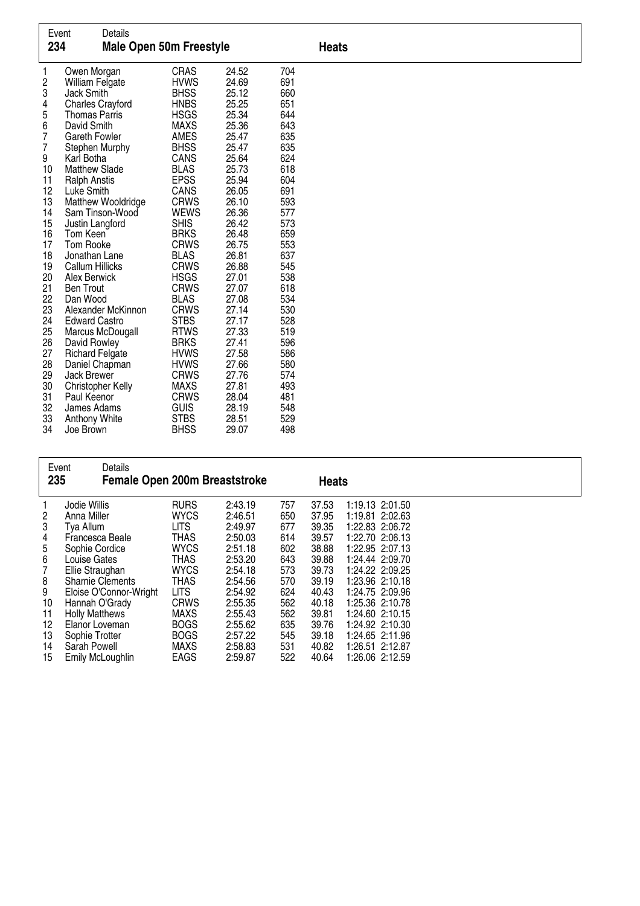| Event<br>234                                                                                                                                                                                                                       | Details<br><b>Male Open 50m Freestyle</b>                                                                                                                                                                                                                                                                                                                                                                                                                                                                                                                                                                                                                |                                                                                                                                                                                                                                                                                                                                                                                                                                                                                                |                                                                                                                                                                                                                                                                                                                |                                                                                                                                                                                                                                            | <b>Heats</b> |  |
|------------------------------------------------------------------------------------------------------------------------------------------------------------------------------------------------------------------------------------|----------------------------------------------------------------------------------------------------------------------------------------------------------------------------------------------------------------------------------------------------------------------------------------------------------------------------------------------------------------------------------------------------------------------------------------------------------------------------------------------------------------------------------------------------------------------------------------------------------------------------------------------------------|------------------------------------------------------------------------------------------------------------------------------------------------------------------------------------------------------------------------------------------------------------------------------------------------------------------------------------------------------------------------------------------------------------------------------------------------------------------------------------------------|----------------------------------------------------------------------------------------------------------------------------------------------------------------------------------------------------------------------------------------------------------------------------------------------------------------|--------------------------------------------------------------------------------------------------------------------------------------------------------------------------------------------------------------------------------------------|--------------|--|
| 1<br>$\overline{\mathbf{c}}$<br>3<br>4<br>5<br>6<br>$\overline{7}$<br>7<br>9<br>10<br>11<br>12<br>13<br>14<br>15<br>16<br>17<br>18<br>19<br>20<br>21<br>22<br>23<br>24<br>25<br>26<br>27<br>28<br>29<br>30<br>31<br>32<br>33<br>34 | Owen Morgan<br>William Felgate<br>Jack Smith<br><b>Charles Crayford</b><br><b>Thomas Parris</b><br>David Smith<br>Gareth Fowler<br>Stephen Murphy<br>Karl Botha<br><b>Matthew Slade</b><br><b>Ralph Anstis</b><br>Luke Smith<br>Matthew Wooldridge<br>Sam Tinson-Wood<br>Justin Langford<br>Tom Keen<br>Tom Rooke<br>Jonathan Lane<br><b>Callum Hillicks</b><br>Alex Berwick<br><b>Ben Trout</b><br>Dan Wood<br>Alexander McKinnon<br><b>Edward Castro</b><br>Marcus McDougall<br>David Rowley<br><b>Richard Felgate</b><br>Daniel Chapman<br>Jack Brewer<br><b>Christopher Kelly</b><br>Paul Keenor<br>James Adams<br><b>Anthony White</b><br>Joe Brown | CRAS<br><b>HVWS</b><br><b>BHSS</b><br><b>HNBS</b><br><b>HSGS</b><br><b>MAXS</b><br><b>AMES</b><br><b>BHSS</b><br>CANS<br><b>BLAS</b><br><b>EPSS</b><br>CANS<br><b>CRWS</b><br>WEWS<br><b>SHIS</b><br><b>BRKS</b><br><b>CRWS</b><br><b>BLAS</b><br><b>CRWS</b><br><b>HSGS</b><br><b>CRWS</b><br><b>BLAS</b><br><b>CRWS</b><br><b>STBS</b><br><b>RTWS</b><br><b>BRKS</b><br><b>HVWS</b><br><b>HVWS</b><br><b>CRWS</b><br><b>MAXS</b><br><b>CRWS</b><br><b>GUIS</b><br><b>STBS</b><br><b>BHSS</b> | 24.52<br>24.69<br>25.12<br>25.25<br>25.34<br>25.36<br>25.47<br>25.47<br>25.64<br>25.73<br>25.94<br>26.05<br>26.10<br>26.36<br>26.42<br>26.48<br>26.75<br>26.81<br>26.88<br>27.01<br>27.07<br>27.08<br>27.14<br>27.17<br>27.33<br>27.41<br>27.58<br>27.66<br>27.76<br>27.81<br>28.04<br>28.19<br>28.51<br>29.07 | 704<br>691<br>660<br>651<br>644<br>643<br>635<br>635<br>624<br>618<br>604<br>691<br>593<br>577<br>573<br>659<br>553<br>637<br>545<br>538<br>618<br>534<br>530<br>528<br>519<br>596<br>586<br>580<br>574<br>493<br>481<br>548<br>529<br>498 |              |  |
| Event                                                                                                                                                                                                                              | <b>Details</b>                                                                                                                                                                                                                                                                                                                                                                                                                                                                                                                                                                                                                                           |                                                                                                                                                                                                                                                                                                                                                                                                                                                                                                |                                                                                                                                                                                                                                                                                                                |                                                                                                                                                                                                                                            |              |  |

| ᄂ៴ငப<br>235 | υσιαιιο                 |             | <b>Female Open 200m Breaststroke</b> |     | <b>Heats</b> |                 |  |
|-------------|-------------------------|-------------|--------------------------------------|-----|--------------|-----------------|--|
|             | Jodie Willis            | <b>RURS</b> | 2:43.19                              | 757 | 37.53        | 1:19.13 2:01.50 |  |
| 2           | Anna Miller             | <b>WYCS</b> | 2:46.51                              | 650 | 37.95        | 1:19.81 2:02.63 |  |
| 3           | Tya Allum               | <b>LITS</b> | 2:49.97                              | 677 | 39.35        | 1:22.83 2:06.72 |  |
| 4           | Francesca Beale         | <b>THAS</b> | 2:50.03                              | 614 | 39.57        | 1:22.70 2:06.13 |  |
| 5           | Sophie Cordice          | <b>WYCS</b> | 2:51.18                              | 602 | 38.88        | 1:22.95 2:07.13 |  |
| 6           | Louise Gates            | <b>THAS</b> | 2:53.20                              | 643 | 39.88        | 1:24.44 2:09.70 |  |
|             | Ellie Straughan         | <b>WYCS</b> | 2:54.18                              | 573 | 39.73        | 1:24.22 2:09.25 |  |
| 8           | <b>Sharnie Clements</b> | <b>THAS</b> | 2:54.56                              | 570 | 39.19        | 1:23.96 2:10.18 |  |
| 9           | Eloise O'Connor-Wright  | <b>LITS</b> | 2:54.92                              | 624 | 40.43        | 1:24.75 2:09.96 |  |
| 10          | Hannah O'Grady          | <b>CRWS</b> | 2:55.35                              | 562 | 40.18        | 1:25.36 2:10.78 |  |
| 11          | <b>Holly Matthews</b>   | <b>MAXS</b> | 2:55.43                              | 562 | 39.81        | 1:24.60 2:10.15 |  |
| 12          | Elanor Loveman          | <b>BOGS</b> | 2:55.62                              | 635 | 39.76        | 1:24.92 2:10.30 |  |
| 13          | Sophie Trotter          | <b>BOGS</b> | 2:57.22                              | 545 | 39.18        | 1:24.65 2:11.96 |  |
| 14          | Sarah Powell            | <b>MAXS</b> | 2:58.83                              | 531 | 40.82        | 1:26.51 2:12.87 |  |
| 15          | Emily McLoughlin        | EAGS        | 2:59.87                              | 522 | 40.64        | 1:26.06 2:12.59 |  |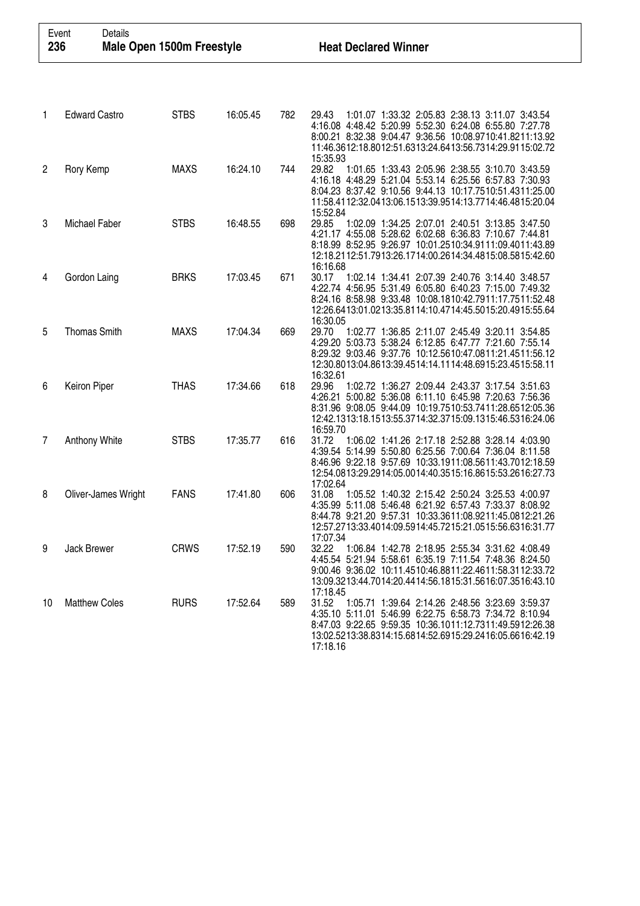| 236            | Event<br>Details     | <b>Male Open 1500m Freestyle</b> |          |     | <b>Heat Declared Winner</b>                                                                                                                                                                                                                                      |
|----------------|----------------------|----------------------------------|----------|-----|------------------------------------------------------------------------------------------------------------------------------------------------------------------------------------------------------------------------------------------------------------------|
|                |                      |                                  |          |     |                                                                                                                                                                                                                                                                  |
| 1              | <b>Edward Castro</b> | <b>STBS</b>                      | 16:05.45 | 782 | 29.43<br>1:01.07 1:33.32 2:05.83 2:38.13 3:11.07 3:43.54<br>4:16.08 4:48.42 5:20.99 5:52.30 6:24.08 6:55.80 7:27.78<br>8:00.21 8:32.38 9:04.47 9:36.56 10:08.9710:41.8211:13.92<br>11:46.3612:18.8012:51.6313:24.6413:56.7314:29.9115:02.72<br>15:35.93          |
| $\overline{c}$ | Rory Kemp            | <b>MAXS</b>                      | 16:24.10 | 744 | 29.82<br>1:01.65 1:33.43 2:05.96 2:38.55 3:10.70 3:43.59<br>4:16.18 4:48.29 5:21.04 5:53.14 6:25.56 6:57.83 7:30.93<br>8:04.23 8:37.42 9:10.56 9:44.13 10:17.7510:51.4311:25.00<br>11:58.4112:32.0413:06.1513:39.9514:13.7714:46.4815:20.04<br>15:52.84          |
| 3              | Michael Faber        | <b>STBS</b>                      | 16:48.55 | 698 | 29.85<br>1:02.09 1:34.25 2:07.01 2:40.51 3:13.85 3:47.50<br>4:21.17 4:55.08 5:28.62 6:02.68 6:36.83 7:10.67 7:44.81<br>8:18.99  8:52.95  9:26.97  10:01.2510:34.9111:09.4011:43.89<br>12:18.2112:51.7913:26.1714:00.2614:34.4815:08.5815:42.60<br>16:16.68       |
| 4              | Gordon Laing         | <b>BRKS</b>                      | 17:03.45 | 671 | 30.17<br>1:02.14 1:34.41 2:07.39 2:40.76 3:14.40 3:48.57<br>4:22.74 4:56.95 5:31.49 6:05.80 6:40.23 7:15.00 7:49.32<br>8:24.16 8:58.98 9:33.48 10:08.1810:42.7911:17.7511:52.48<br>12:26.6413:01.0213:35.8114:10.4714:45.5015:20.4915:55.64<br>16:30.05          |
| 5              | <b>Thomas Smith</b>  | <b>MAXS</b>                      | 17:04.34 | 669 | 1:02.77 1:36.85 2:11.07 2:45.49 3:20.11 3:54.85<br>29.70<br>4:29.20 5:03.73 5:38.24 6:12.85 6:47.77 7:21.60 7:55.14<br>8:29.32 9:03.46 9:37.76 10:12.5610:47.0811:21.4511:56.12<br>12:30.8013:04.8613:39.4514:14.1114:48.6915:23.4515:58.11<br>16:32.61          |
| 6              | Keiron Piper         | <b>THAS</b>                      | 17:34.66 | 618 | 29.96<br>1:02.72 1:36.27 2:09.44 2:43.37 3:17.54 3:51.63<br>4:26.21 5:00.82 5:36.08 6:11.10 6:45.98 7:20.63 7:56.36<br>8:31.96  9:08.05  9:44.09  10:19.7510:53.7411:28.6512:05.36<br>12:42.1313:18.1513:55.3714:32.3715:09.1315:46.5316:24.06<br>16:59.70       |
| 7              | Anthony White        | <b>STBS</b>                      | 17:35.77 | 616 | 1:06.02 1:41.26 2:17.18 2:52.88 3:28.14 4:03.90<br>31.72<br>4:39.54 5:14.99 5:50.80 6:25.56 7:00.64 7:36.04 8:11.58<br>8:46.96 9:22.18 9:57.69 10:33.1911:08.5611:43.7012:18.59<br>12:54.0813:29.2914:05.0014:40.3515:16.8615:53.2616:27.73<br>17:02.64          |
| 8              | Oliver-James Wright  | <b>FANS</b>                      | 17:41.80 | 606 | 1:05.52 1:40.32 2:15.42 2:50.24 3:25.53 4:00.97<br>31.08<br>4:35.99 5:11.08 5:46.48 6:21.92 6:57.43 7:33.37 8:08.92<br>8:44.78 9:21.20 9:57.31 10:33.3611:08.9211:45.0812:21.26<br>12:57.2713:33.4014:09.5914:45.7215:21.0515:56.6316:31.77                      |
| 9              | Jack Brewer          | <b>CRWS</b>                      | 17:52.19 | 590 | 17:07.34<br>32.22<br>1:06.84 1:42.78 2:18.95 2:55.34 3:31.62 4:08.49<br>4:45.54 5:21.94 5:58.61 6:35.19 7:11.54 7:48.36 8:24.50<br>9:00.46 9:36.02 10:11.4510:46.8811:22.4611:58.3112:33.72<br>13:09.3213:44.7014:20.4414:56.1815:31.5616:07.3516:43.10          |
| 10             | <b>Matthew Coles</b> | <b>RURS</b>                      | 17:52.64 | 589 | 17:18.45<br>31.52 1:05.71 1:39.64 2:14.26 2:48.56 3:23.69 3:59.37<br>4:35.10 5:11.01 5:46.99 6:22.75 6:58.73 7:34.72 8:10.94<br>8:47.03 9:22.65 9:59.35 10:36.1011:12.7311:49.5912:26.38<br>13:02.5213:38.8314:15.6814:52.6915:29.2416:05.6616:42.19<br>17:18.16 |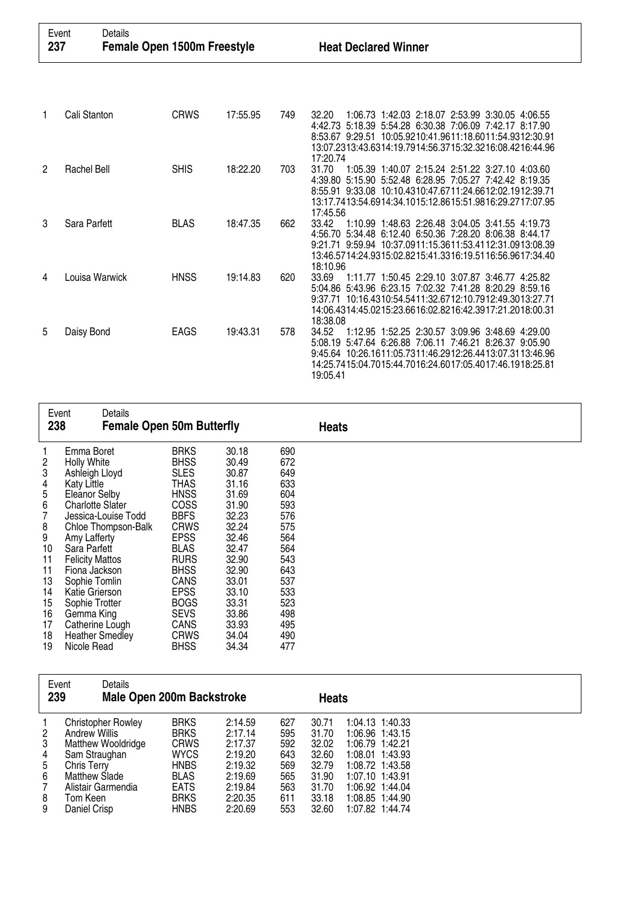| Event<br>237   |                    | Details<br><b>Female Open 1500m Freestyle</b> |             |          |     | <b>Heat Declared Winner</b>                                                                                                                                                                                                                             |
|----------------|--------------------|-----------------------------------------------|-------------|----------|-----|---------------------------------------------------------------------------------------------------------------------------------------------------------------------------------------------------------------------------------------------------------|
|                |                    |                                               |             |          |     |                                                                                                                                                                                                                                                         |
| 1              | Cali Stanton       |                                               | <b>CRWS</b> | 17:55.95 | 749 | 32.20<br>1:06.73 1:42.03 2:18.07 2:53.99 3:30.05 4:06.55<br>4:42.73 5:18.39 5:54.28 6:30.38 7:06.09 7:42.17 8:17.90<br>8:53.67 9:29.51 10:05.9210:41.9611:18.6011:54.9312:30.91<br>13:07.2313:43.6314:19.7914:56.3715:32.3216:08.4216:44.96<br>17:20.74 |
| $\overline{2}$ | <b>Rachel Bell</b> |                                               | <b>SHIS</b> | 18:22.20 | 703 | 31.70<br>1:05.39 1:40.07 2:15.24 2:51.22 3:27.10 4:03.60<br>4:39.80 5:15.90 5:52.48 6:28.95 7:05.27 7:42.42 8:19.35<br>8:55.91 9:33.08 10:10.4310:47.6711:24.6612:02.1912:39.71<br>13:17.7413:54.6914:34.1015:12.8615:51.9816:29.2717:07.95<br>17:45.56 |
| 3              | Sara Parfett       |                                               | <b>BLAS</b> | 18:47.35 | 662 | 33.42<br>1.10.99 1.48.63 2.26.48 3.04.05 3.41.55 4.19.73<br>4:56.70 5:34.48 6:12.40 6:50.36 7:28.20 8:06.38 8:44.17<br>9:21.71 9:59.94 10:37.0911:15.3611:53.4112:31.0913:08.39<br>13:46.5714:24.9315:02.8215:41.3316:19.5116:56.9617:34.40<br>18:10.96 |
| 4              | Louisa Warwick     |                                               | <b>HNSS</b> | 19:14.83 | 620 | 33.69<br>1:11.77 1:50.45 2:29.10 3:07.87 3:46.77 4:25.82<br>5:04.86 5:43.96 6:23.15 7:02.32 7:41.28 8:20.29 8:59.16<br>9:37.71 10:16.4310:54.5411:32.6712:10.7912:49.3013:27.71<br>14:06.4314:45.0215:23.6616:02.8216:42.3917:21.2018:00.31<br>18:38.08 |
| 5              | Daisy Bond         |                                               | EAGS        | 19:43.31 | 578 | 34.52<br>1.12.95 1.52.25 2.30.57 3.09.96 3.48.69 4.29.00<br>5:08.19 5:47.64 6:26.88 7:06.11 7:46.21 8:26.37 9:05.90<br>9:45.64 10:26.1611:05.7311:46.2912:26.4413:07.3113:46.96<br>14:25.7415:04.7015:44.7016:24.6017:05.4017:46.1918:25.81<br>19:05.41 |

|                                                    | Event<br>Details                                                                                                                                                                                   |                                                                                                                                                    |                                                                                        |                                                                    |              |
|----------------------------------------------------|----------------------------------------------------------------------------------------------------------------------------------------------------------------------------------------------------|----------------------------------------------------------------------------------------------------------------------------------------------------|----------------------------------------------------------------------------------------|--------------------------------------------------------------------|--------------|
| 238                                                | <b>Female Open 50m Butterfly</b>                                                                                                                                                                   |                                                                                                                                                    |                                                                                        |                                                                    | <b>Heats</b> |
| $\frac{2}{3}$<br>4<br>5<br>6<br>7<br>8<br>9<br>10  | Emma Boret<br><b>Holly White</b><br>Ashleigh Lloyd<br>Katy Little<br><b>Eleanor Selby</b><br><b>Charlotte Slater</b><br>Jessica-Louise Todd<br>Chloe Thompson-Balk<br>Amy Lafferty<br>Sara Parfett | <b>BRKS</b><br><b>BHSS</b><br><b>SLES</b><br><b>THAS</b><br><b>HNSS</b><br><b>COSS</b><br><b>BBFS</b><br><b>CRWS</b><br><b>EPSS</b><br><b>BLAS</b> | 30.18<br>30.49<br>30.87<br>31.16<br>31.69<br>31.90<br>32.23<br>32.24<br>32.46<br>32.47 | 690<br>672<br>649<br>633<br>604<br>593<br>576<br>575<br>564<br>564 |              |
| 11<br>11<br>13<br>14<br>15<br>16<br>17<br>18<br>19 | <b>Felicity Mattos</b><br>Fiona Jackson<br>Sophie Tomlin<br>Katie Grierson<br>Sophie Trotter<br>Gemma King<br>Catherine Lough<br><b>Heather Smedley</b><br>Nicole Read                             | <b>RURS</b><br><b>BHSS</b><br>CANS<br><b>EPSS</b><br><b>BOGS</b><br><b>SEVS</b><br>CANS<br><b>CRWS</b><br><b>BHSS</b>                              | 32.90<br>32.90<br>33.01<br>33.10<br>33.31<br>33.86<br>33.93<br>34.04<br>34.34          | 543<br>643<br>537<br>533<br>523<br>498<br>495<br>490<br>477        |              |

| 239            | Details<br>Event<br><b>Male Open 200m Backstroke</b> |             |         |     | <b>Heats</b> |                 |
|----------------|------------------------------------------------------|-------------|---------|-----|--------------|-----------------|
|                | <b>Christopher Rowley</b>                            | <b>BRKS</b> | 2:14.59 | 627 | 30.71        | 1:04.13 1:40.33 |
| $\overline{2}$ | <b>Andrew Willis</b>                                 | <b>BRKS</b> | 2:17.14 | 595 | 31.70        | 1:06.96 1:43.15 |
| 3              | Matthew Wooldridge                                   | <b>CRWS</b> | 2:17.37 | 592 | 32.02        | 1:06.79 1:42.21 |
| 4              | Sam Straughan                                        | <b>WYCS</b> | 2:19.20 | 643 | 32.60        | 1:08.01 1:43.93 |
| 5              | Chris Terry                                          | <b>HNBS</b> | 2:19.32 | 569 | 32.79        | 1:08.72 1:43.58 |
| 6              | <b>Matthew Slade</b>                                 | <b>BLAS</b> | 2:19.69 | 565 | 31.90        | 1:07.10 1:43.91 |
|                | Alistair Garmendia                                   | <b>EATS</b> | 2:19.84 | 563 | 31.70        | 1:06.92 1:44.04 |
| 8              | Tom Keen                                             | <b>BRKS</b> | 2:20.35 | 611 | 33.18        | 1:08.85 1:44.90 |
| 9              | Daniel Crisp                                         | <b>HNBS</b> | 2:20.69 | 553 | 32.60        | 1:07.82 1:44.74 |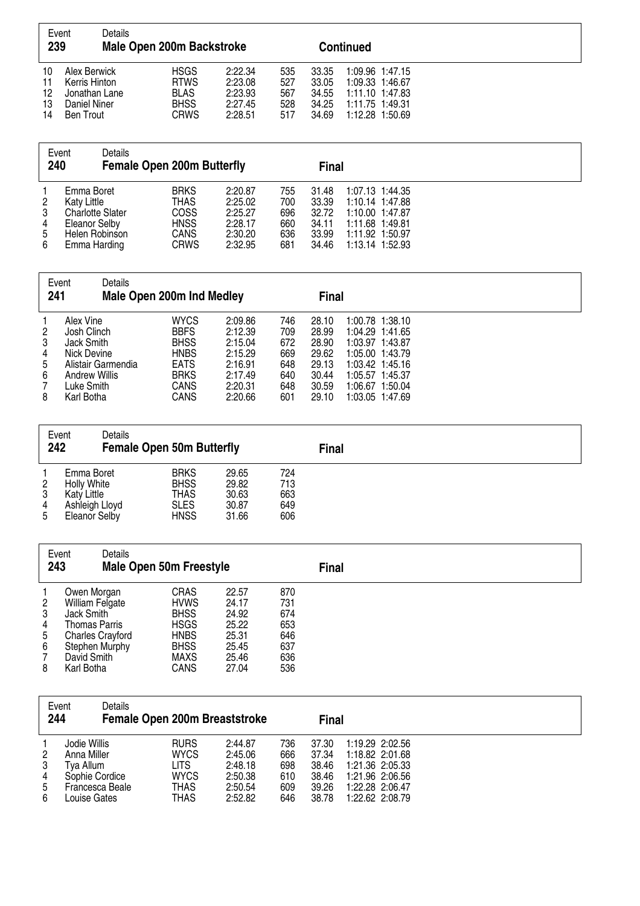| Event<br>239               |                                                                                    | Details<br>Male Open 200m Backstroke |                                                                  |                                                     |                                 |                                           | <b>Continued</b>                                                         |                 |
|----------------------------|------------------------------------------------------------------------------------|--------------------------------------|------------------------------------------------------------------|-----------------------------------------------------|---------------------------------|-------------------------------------------|--------------------------------------------------------------------------|-----------------|
| 10<br>11<br>12<br>13<br>14 | Alex Berwick<br>Kerris Hinton<br>Jonathan Lane<br>Daniel Niner<br><b>Ben Trout</b> |                                      | <b>HSGS</b><br><b>RTWS</b><br><b>BLAS</b><br><b>BHSS</b><br>CRWS | 2:22.34<br>2:23.08<br>2:23.93<br>2:27.45<br>2:28.51 | 535<br>527<br>567<br>528<br>517 | 33.35<br>33.05<br>34.55<br>34.25<br>34.69 | 1:09.33 1:46.67<br>1:11.10 1:47.83<br>1:11.75 1:49.31<br>1:12.28 1:50.69 | 1:09.96 1:47.15 |

| Event<br>240                                  | Details                                                                           | <b>Female Open 200m Butterfly</b>                                                      |                                                                |                                        | <b>Final</b>                                       |                                                                                                                |
|-----------------------------------------------|-----------------------------------------------------------------------------------|----------------------------------------------------------------------------------------|----------------------------------------------------------------|----------------------------------------|----------------------------------------------------|----------------------------------------------------------------------------------------------------------------|
| Emma Boret<br>Katy Little<br>3<br>4<br>5<br>6 | <b>Charlotte Slater</b><br><b>Eleanor Selby</b><br>Helen Robinson<br>Emma Harding | <b>BRKS</b><br><b>THAS</b><br><b>COSS</b><br><b>HNSS</b><br><b>CANS</b><br><b>CRWS</b> | 2:20.87<br>2:25.02<br>2:25.27<br>2:28.17<br>2:30.20<br>2:32.95 | 755<br>700<br>696<br>660<br>636<br>681 | 31.48<br>33.39<br>32.72<br>34.11<br>33.99<br>34.46 | 1:07.13 1:44.35<br>1:10.14 1:47.88<br>1:10.00 1:47.87<br>1.11.68 1.49.81<br>1:11.92 1:50.97<br>1:13.14 1:52.93 |

| 241            | Event<br>Details   | Male Open 200m Ind Medley |         |     | <b>Final</b> |                 |  |
|----------------|--------------------|---------------------------|---------|-----|--------------|-----------------|--|
|                | Alex Vine          | <b>WYCS</b>               | 2:09.86 | 746 | 28.10        | 1:00.78 1:38.10 |  |
| $\overline{2}$ | Josh Clinch        | <b>BBFS</b>               | 2:12.39 | 709 | 28.99        | 1:04.29 1:41.65 |  |
| 3              | Jack Smith         | <b>BHSS</b>               | 2:15.04 | 672 | 28.90        | 1:03.97 1:43.87 |  |
| 4              | Nick Devine        | <b>HNBS</b>               | 2:15.29 | 669 | 29.62        | 1:05.00 1:43.79 |  |
| 5              | Alistair Garmendia | <b>EATS</b>               | 2:16.91 | 648 | 29.13        | 1:03.42 1:45.16 |  |
| 6              | Andrew Willis      | <b>BRKS</b>               | 2:17.49 | 640 | 30.44        | 1:05.57 1:45.37 |  |
| 7              | Luke Smith         | CANS                      | 2:20.31 | 648 | 30.59        | 1:06.67 1:50.04 |  |
| 8              | Karl Botha         | CANS                      | 2:20.66 | 601 | 29.10        | 1:03.05 1:47.69 |  |

| Event<br>242                                |                                                                             | Details<br><b>Female Open 50m Butterfly</b> |                                                                  |                                           |                                 | <b>Final</b> |  |
|---------------------------------------------|-----------------------------------------------------------------------------|---------------------------------------------|------------------------------------------------------------------|-------------------------------------------|---------------------------------|--------------|--|
| $\overline{2}$<br>-3<br>$\overline{4}$<br>5 | Emma Boret<br>Holly White<br>Katy Little<br>Ashleigh Lloyd<br>Eleanor Selby |                                             | <b>BRKS</b><br><b>BHSS</b><br>THAS<br><b>SLES</b><br><b>HNSS</b> | 29.65<br>29.82<br>30.63<br>30.87<br>31.66 | 724<br>713<br>663<br>649<br>606 |              |  |

|                   | Event<br>Details<br>243                         | Male Open 50m Freestyle                   |                         |                   | <b>Final</b> |  |
|-------------------|-------------------------------------------------|-------------------------------------------|-------------------------|-------------------|--------------|--|
| $\mathbf{2}$<br>3 | Owen Morgan<br>William Felgate<br>Jack Smith    | <b>CRAS</b><br><b>HVWS</b><br><b>BHSS</b> | 22.57<br>24.17<br>24.92 | 870<br>731<br>674 |              |  |
| 4<br>5            | <b>Thomas Parris</b><br><b>Charles Crayford</b> | <b>HSGS</b><br><b>HNBS</b>                | 25.22<br>25.31          | 653<br>646        |              |  |
| 6<br>8            | Stephen Murphy<br>David Smith<br>Karl Botha     | <b>BHSS</b><br><b>MAXS</b><br>CANS        | 25.45<br>25.46<br>27.04 | 637<br>636<br>536 |              |  |

| Event<br>244                        |                                                                                               | Details<br><b>Female Open 200m Breaststroke</b> |                                                                                 |                                                                |                                        | <b>Final</b>                                       |                                                                                                                |
|-------------------------------------|-----------------------------------------------------------------------------------------------|-------------------------------------------------|---------------------------------------------------------------------------------|----------------------------------------------------------------|----------------------------------------|----------------------------------------------------|----------------------------------------------------------------------------------------------------------------|
| $\overline{2}$<br>-3<br>4<br>5<br>6 | Jodie Willis<br>Anna Miller<br>Tva Allum<br>Sophie Cordice<br>Francesca Beale<br>Louise Gates |                                                 | <b>RURS</b><br><b>WYCS</b><br>LITS<br><b>WYCS</b><br><b>THAS</b><br><b>THAS</b> | 2:44.87<br>2:45.06<br>2:48.18<br>2:50.38<br>2:50.54<br>2:52.82 | 736<br>666<br>698<br>610<br>609<br>646 | 37.30<br>37.34<br>38.46<br>38.46<br>39.26<br>38.78 | 1:19.29 2:02.56<br>1:18.82 2:01.68<br>1:21.36 2:05.33<br>1:21.96 2:06.56<br>1:22.28 2:06.47<br>1:22.62 2:08.79 |